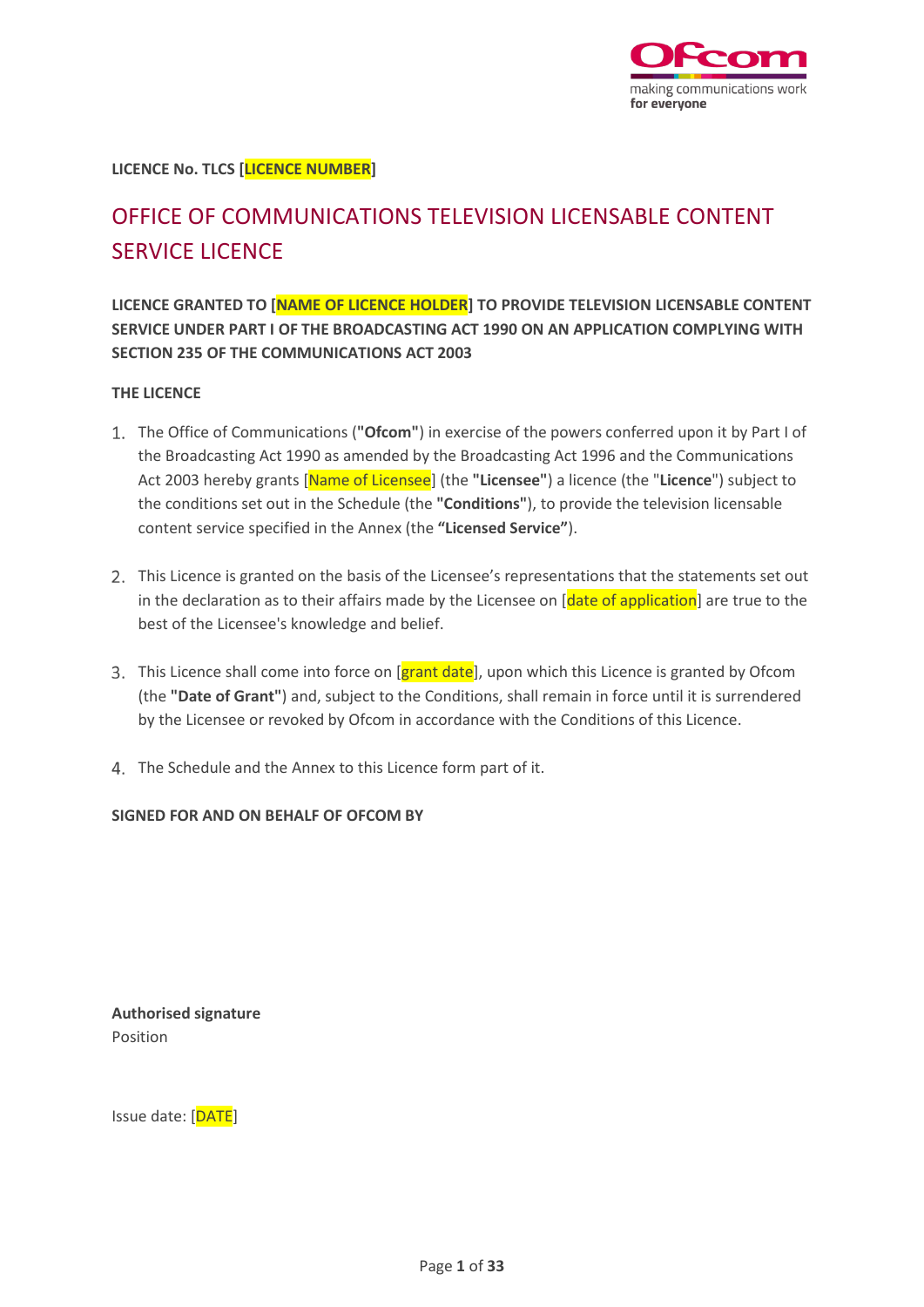

**LICENCE No. TLCS [LICENCE NUMBER]**

# OFFICE OF COMMUNICATIONS TELEVISION LICENSABLE CONTENT SERVICE LICENCE

**LICENCE GRANTED TO [NAME OF LICENCE HOLDER] TO PROVIDE TELEVISION LICENSABLE CONTENT SERVICE UNDER PART I OF THE BROADCASTING ACT 1990 ON AN APPLICATION COMPLYING WITH SECTION 235 OF THE COMMUNICATIONS ACT 2003**

#### **THE LICENCE**

- The Office of Communications (**"Ofcom"**) in exercise of the powers conferred upon it by Part I of the Broadcasting Act 1990 as amended by the Broadcasting Act 1996 and the Communications Act 2003 hereby grants [Name of Licensee] (the **"Licensee"**) a licence (the "**Licence**") subject to the conditions set out in the Schedule (the **"Conditions"**), to provide the television licensable content service specified in the Annex (the **"Licensed Service"**).
- 2. This Licence is granted on the basis of the Licensee's representations that the statements set out in the declaration as to their affairs made by the Licensee on [date of application] are true to the best of the Licensee's knowledge and belief.
- 3. This Licence shall come into force on [grant date], upon which this Licence is granted by Ofcom (the **"Date of Grant"**) and, subject to the Conditions, shall remain in force until it is surrendered by the Licensee or revoked by Ofcom in accordance with the Conditions of this Licence.
- The Schedule and the Annex to this Licence form part of it.

**SIGNED FOR AND ON BEHALF OF OFCOM BY**

**Authorised signature** Position

Issue date: [DATE]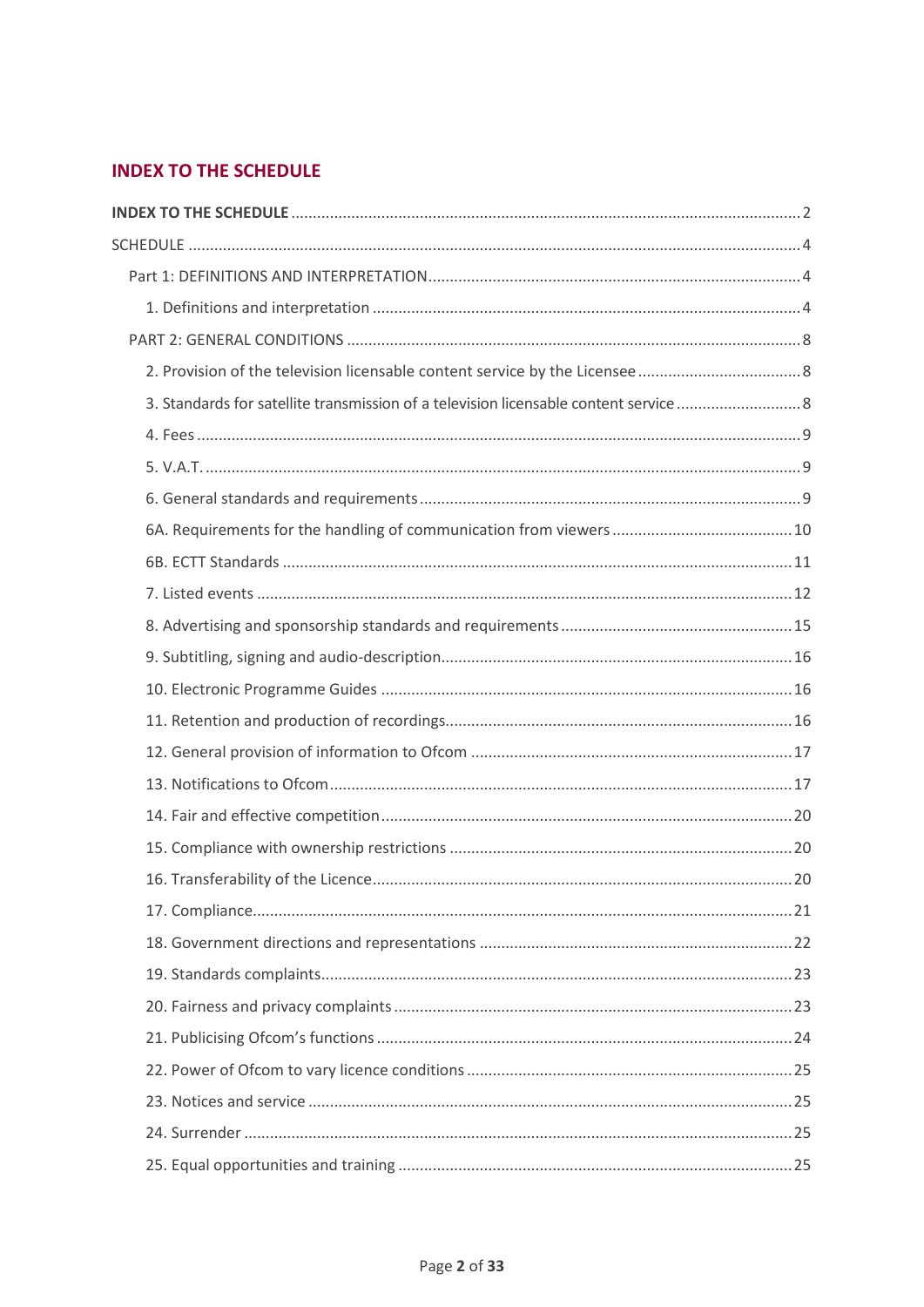## <span id="page-1-0"></span>**INDEX TO THE SCHEDULE**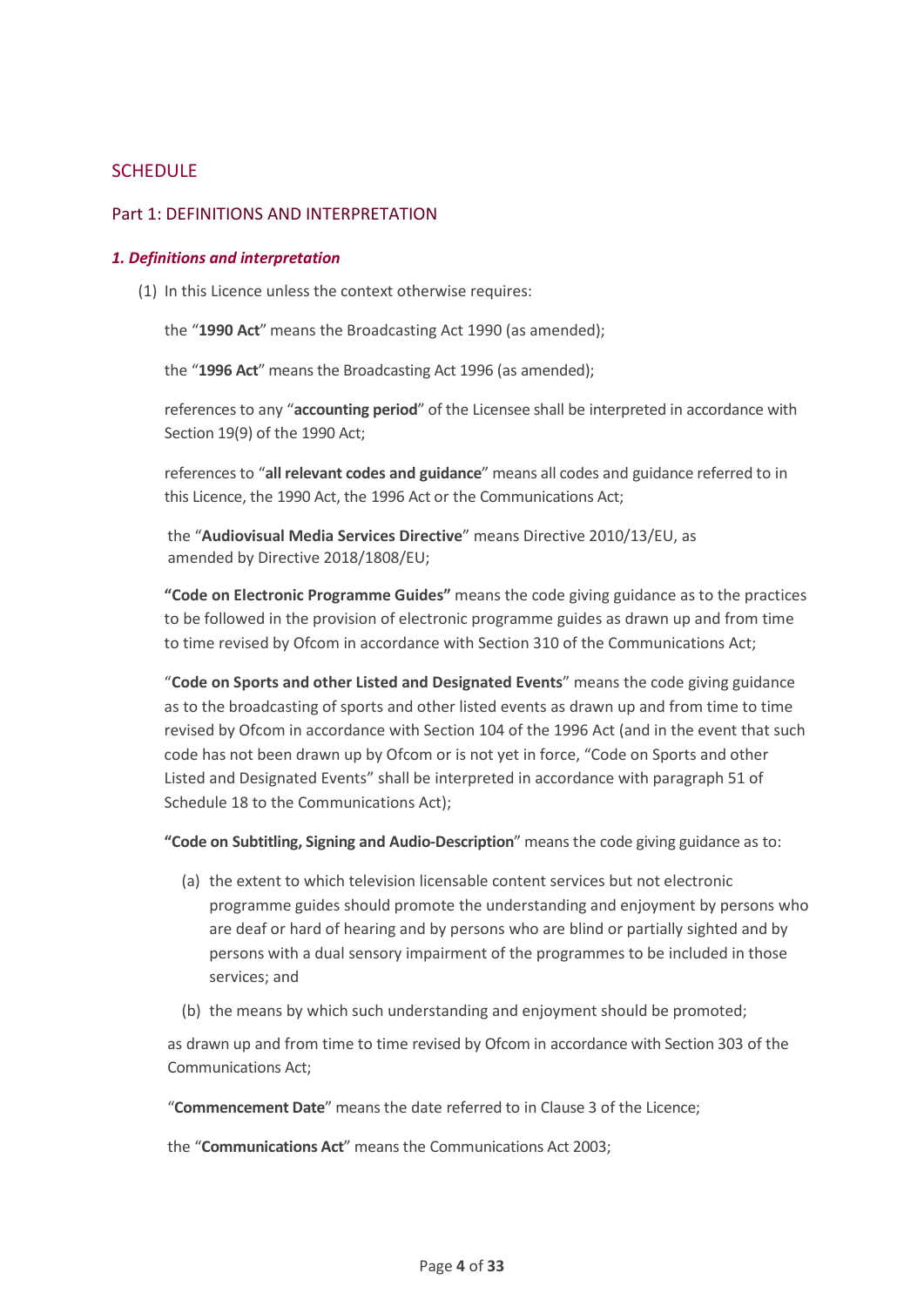## <span id="page-3-0"></span>**SCHEDULE**

#### <span id="page-3-1"></span>Part 1: DEFINITIONS AND INTERPRETATION

#### <span id="page-3-2"></span>*1. Definitions and interpretation*

(1) In this Licence unless the context otherwise requires:

the "**1990 Act**" means the Broadcasting Act 1990 (as amended);

the "**1996 Act**" means the Broadcasting Act 1996 (as amended);

references to any "**accounting period**" of the Licensee shall be interpreted in accordance with Section 19(9) of the 1990 Act;

references to "**all relevant codes and guidance**" means all codes and guidance referred to in this Licence, the 1990 Act, the 1996 Act or the Communications Act;

the "**Audiovisual Media Services Directive**" means Directive 2010/13/EU, as amended by Directive 2018/1808/EU;

**"Code on Electronic Programme Guides"** means the code giving guidance as to the practices to be followed in the provision of electronic programme guides as drawn up and from time to time revised by Ofcom in accordance with Section 310 of the Communications Act;

"**Code on Sports and other Listed and Designated Events**" means the code giving guidance as to the broadcasting of sports and other listed events as drawn up and from time to time revised by Ofcom in accordance with Section 104 of the 1996 Act (and in the event that such code has not been drawn up by Ofcom or is not yet in force, "Code on Sports and other Listed and Designated Events" shall be interpreted in accordance with paragraph 51 of Schedule 18 to the Communications Act);

**"Code on Subtitling, Signing and Audio-Description**" means the code giving guidance as to:

- (a) the extent to which television licensable content services but not electronic programme guides should promote the understanding and enjoyment by persons who are deaf or hard of hearing and by persons who are blind or partially sighted and by persons with a dual sensory impairment of the programmes to be included in those services; and
- (b) the means by which such understanding and enjoyment should be promoted;

as drawn up and from time to time revised by Ofcom in accordance with Section 303 of the Communications Act;

"**Commencement Date**" means the date referred to in Clause 3 of the Licence;

the "**Communications Act**" means the Communications Act 2003;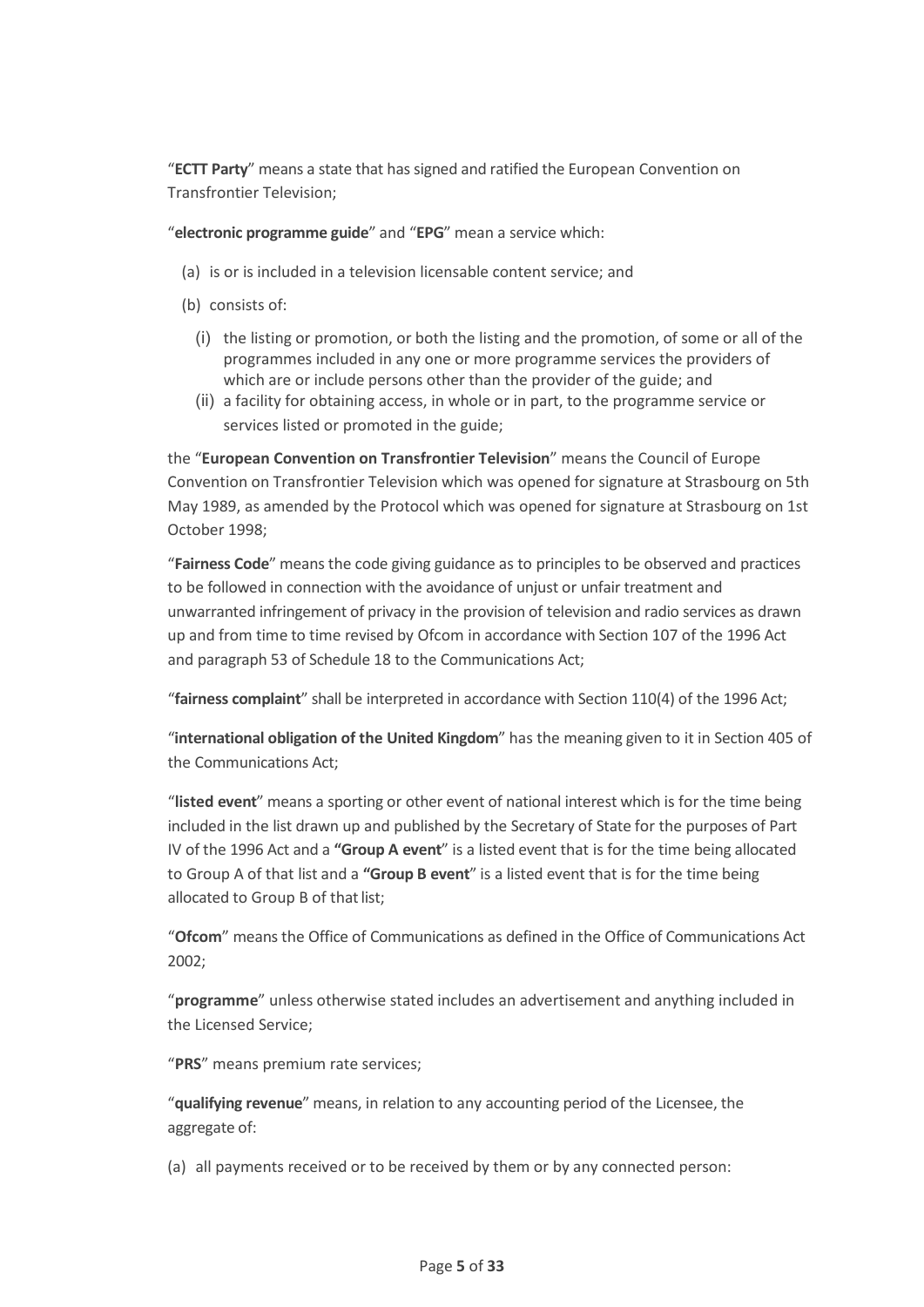"**ECTT Party**" means a state that has signed and ratified the European Convention on Transfrontier Television;

"**electronic programme guide**" and "**EPG**" mean a service which:

- (a) is or is included in a television licensable content service; and
- (b) consists of:
	- (i) the listing or promotion, or both the listing and the promotion, of some or all of the programmes included in any one or more programme services the providers of which are or include persons other than the provider of the guide; and
	- (ii) a facility for obtaining access, in whole or in part, to the programme service or services listed or promoted in the guide;

the "**European Convention on Transfrontier Television**" means the Council of Europe Convention on Transfrontier Television which was opened for signature at Strasbourg on 5th May 1989, as amended by the Protocol which was opened for signature at Strasbourg on 1st October 1998;

"**Fairness Code**" means the code giving guidance as to principles to be observed and practices to be followed in connection with the avoidance of unjust or unfair treatment and unwarranted infringement of privacy in the provision of television and radio services as drawn up and from time to time revised by Ofcom in accordance with Section 107 of the 1996 Act and paragraph 53 of Schedule 18 to the Communications Act;

"**fairness complaint**" shall be interpreted in accordance with Section 110(4) of the 1996 Act;

"**international obligation of the United Kingdom**" has the meaning given to it in Section 405 of the Communications Act;

"**listed event**" means a sporting or other event of national interest which is for the time being included in the list drawn up and published by the Secretary of State for the purposes of Part IV of the 1996 Act and a **"Group A event**" is a listed event that is for the time being allocated to Group A of that list and a **"Group B event**" is a listed event that is for the time being allocated to Group B of that list;

"**Ofcom**" means the Office of Communications as defined in the Office of Communications Act 2002;

"**programme**" unless otherwise stated includes an advertisement and anything included in the Licensed Service;

"**PRS**" means premium rate services;

"**qualifying revenue**" means, in relation to any accounting period of the Licensee, the aggregate of:

(a) all payments received or to be received by them or by any connected person: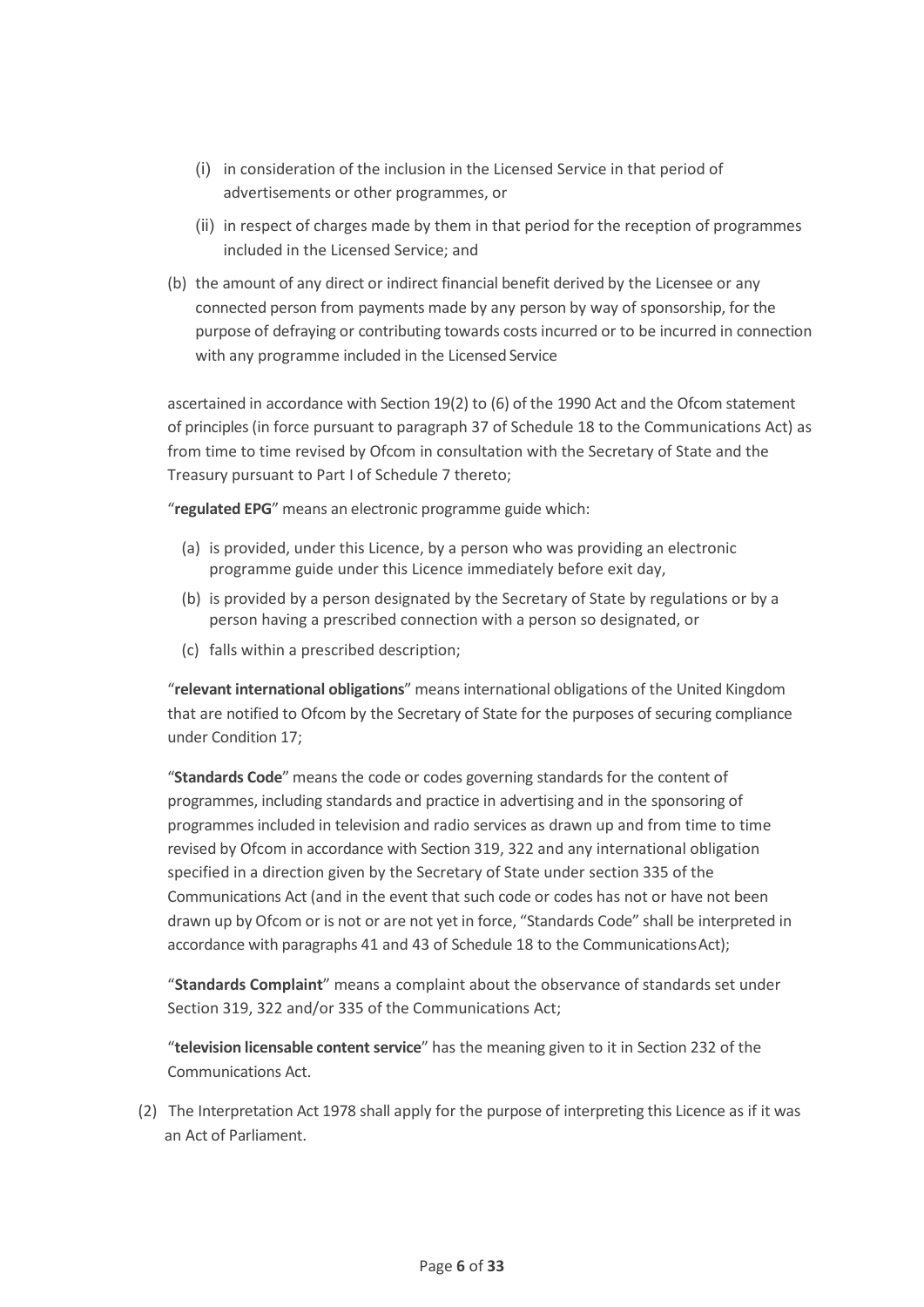- (i) in consideration of the inclusion in the Licensed Service in that period of advertisements or other programmes, or
- (ii) in respect of charges made by them in that period for the reception of programmes included in the Licensed Service; and
- (b) the amount of any direct or indirect financial benefit derived by the Licensee or any connected person from payments made by any person by way of sponsorship, for the purpose of defraying or contributing towards costs incurred or to be incurred in connection with any programme included in the Licensed Service

ascertained in accordance with Section 19(2) to (6) of the 1990 Act and the Ofcom statement of principles (in force pursuant to paragraph 37 of Schedule 18 to the Communications Act) as from time to time revised by Ofcom in consultation with the Secretary of State and the Treasury pursuant to Part I of Schedule 7 thereto;

"**regulated EPG**" means an electronic programme guide which:

- (a) is provided, under this Licence, by a person who was providing an electronic programme guide under this Licence immediately before exit day,
- (b) is provided by a person designated by the Secretary of State by regulations or by a person having a prescribed connection with a person so designated, or
- (c) falls within a prescribed description;

"**relevant international obligations**" means international obligations of the United Kingdom that are notified to Ofcom by the Secretary of State for the purposes of securing compliance under Condition 17;

"**Standards Code**" means the code or codes governing standards for the content of programmes, including standards and practice in advertising and in the sponsoring of programmes included in television and radio services as drawn up and from time to time revised by Ofcom in accordance with Section 319, 322 and any international obligation specified in a direction given by the Secretary of State under section 335 of the Communications Act (and in the event that such code or codes has not or have not been drawn up by Ofcom or is not or are not yet in force, "Standards Code" shall be interpreted in accordance with paragraphs 41 and 43 of Schedule 18 to the CommunicationsAct);

"**Standards Complaint**" means a complaint about the observance of standards set under Section 319, 322 and/or 335 of the Communications Act;

"**television licensable content service**" has the meaning given to it in Section 232 of the Communications Act.

(2) The Interpretation Act 1978 shall apply for the purpose of interpreting this Licence as if it was an Act of Parliament.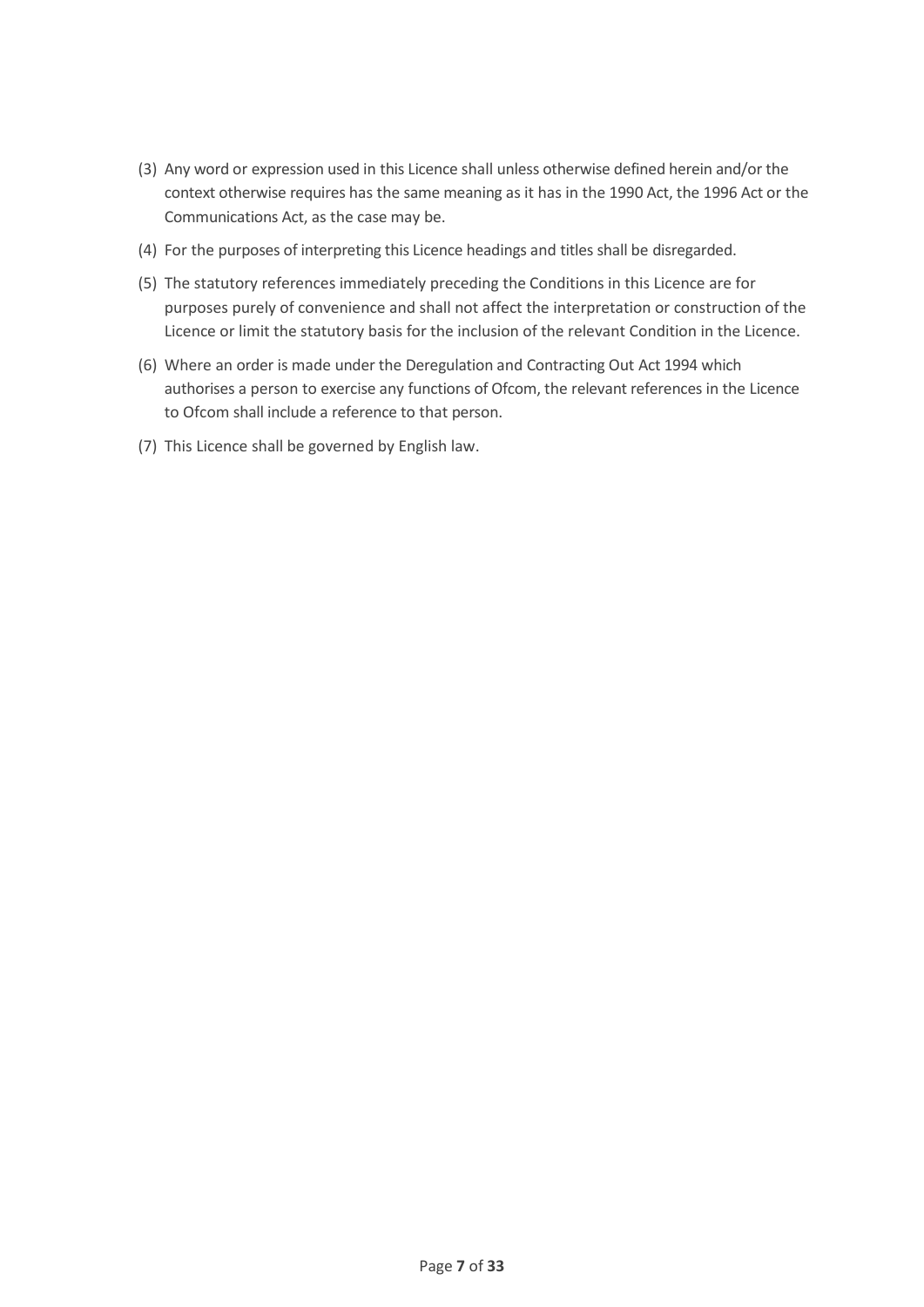- (3) Any word or expression used in this Licence shall unless otherwise defined herein and/or the context otherwise requires has the same meaning as it has in the 1990 Act, the 1996 Act or the Communications Act, as the case may be.
- (4) For the purposes of interpreting this Licence headings and titles shall be disregarded.
- (5) The statutory references immediately preceding the Conditions in this Licence are for purposes purely of convenience and shall not affect the interpretation or construction of the Licence or limit the statutory basis for the inclusion of the relevant Condition in the Licence.
- (6) Where an order is made under the Deregulation and Contracting Out Act 1994 which authorises a person to exercise any functions of Ofcom, the relevant references in the Licence to Ofcom shall include a reference to that person.
- (7) This Licence shall be governed by English law.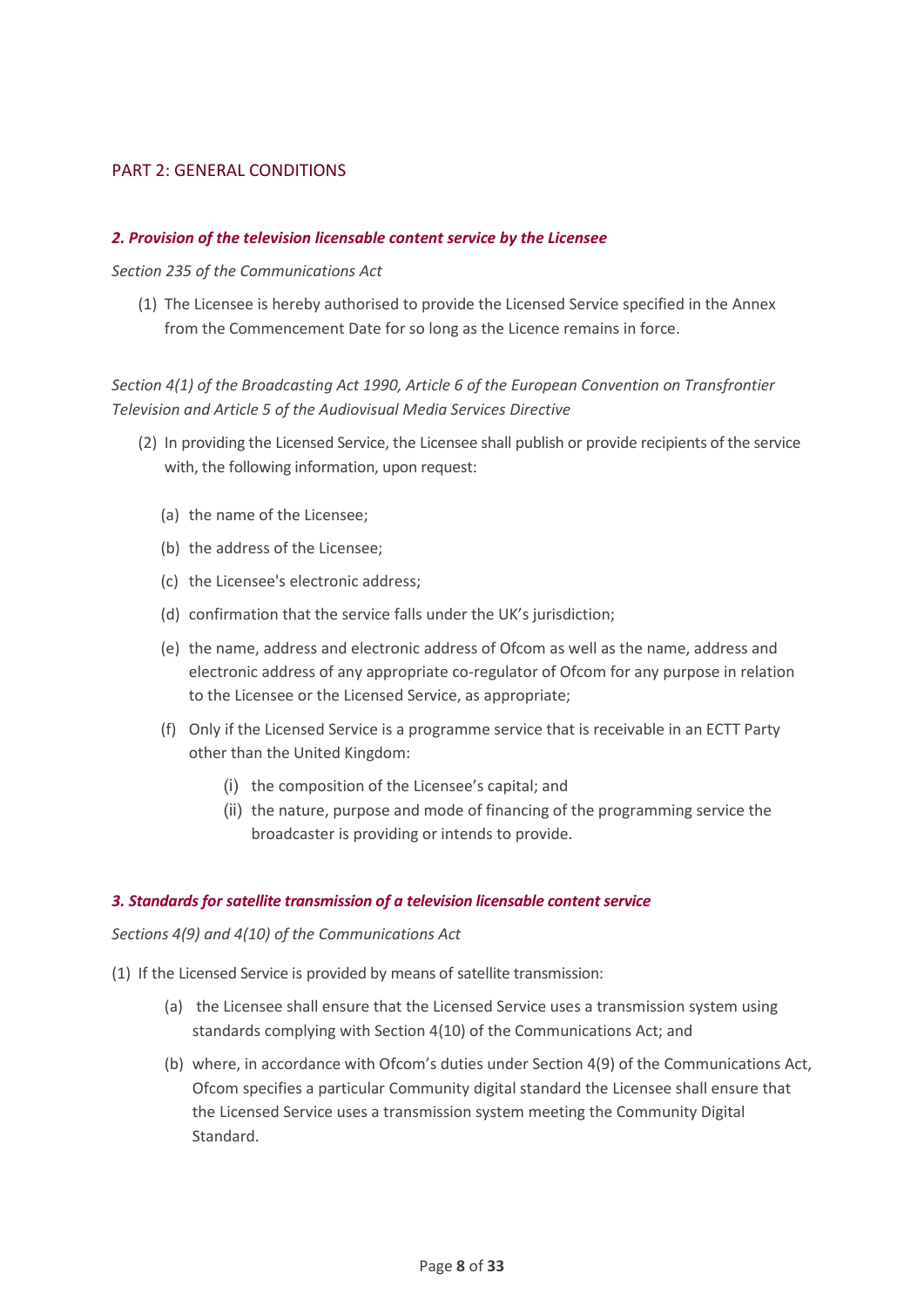#### <span id="page-7-0"></span>PART 2: GENERAL CONDITIONS

#### <span id="page-7-1"></span>*2. Provision of the television licensable content service by the Licensee*

#### *Section 235 of the Communications Act*

(1) The Licensee is hereby authorised to provide the Licensed Service specified in the Annex from the Commencement Date for so long as the Licence remains in force.

## *Section 4(1) of the Broadcasting Act 1990, Article 6 of the European Convention on Transfrontier Television and Article 5 of the Audiovisual Media Services Directive*

- (2) In providing the Licensed Service, the Licensee shall publish or provide recipients of the service with, the following information, upon request:
	- (a) the name of the Licensee;
	- (b) the address of the Licensee;
	- (c) the Licensee's electronic address;
	- (d) confirmation that the service falls under the UK's jurisdiction;
	- (e) the name, address and electronic address of Ofcom as well as the name, address and electronic address of any appropriate co-regulator of Ofcom for any purpose in relation to the Licensee or the Licensed Service, as appropriate;
	- (f) Only if the Licensed Service is a programme service that is receivable in an ECTT Party other than the United Kingdom:
		- (i) the composition of the Licensee's capital; and
		- (ii) the nature, purpose and mode of financing of the programming service the broadcaster is providing or intends to provide.

#### <span id="page-7-2"></span>*3. Standards for satellite transmission of a television licensable content service*

*Sections 4(9) and 4(10) of the Communications Act*

- (1) If the Licensed Service is provided by means of satellite transmission:
	- (a) the Licensee shall ensure that the Licensed Service uses a transmission system using standards complying with Section 4(10) of the Communications Act; and
	- (b) where, in accordance with Ofcom's duties under Section 4(9) of the Communications Act, Ofcom specifies a particular Community digital standard the Licensee shall ensure that the Licensed Service uses a transmission system meeting the Community Digital Standard.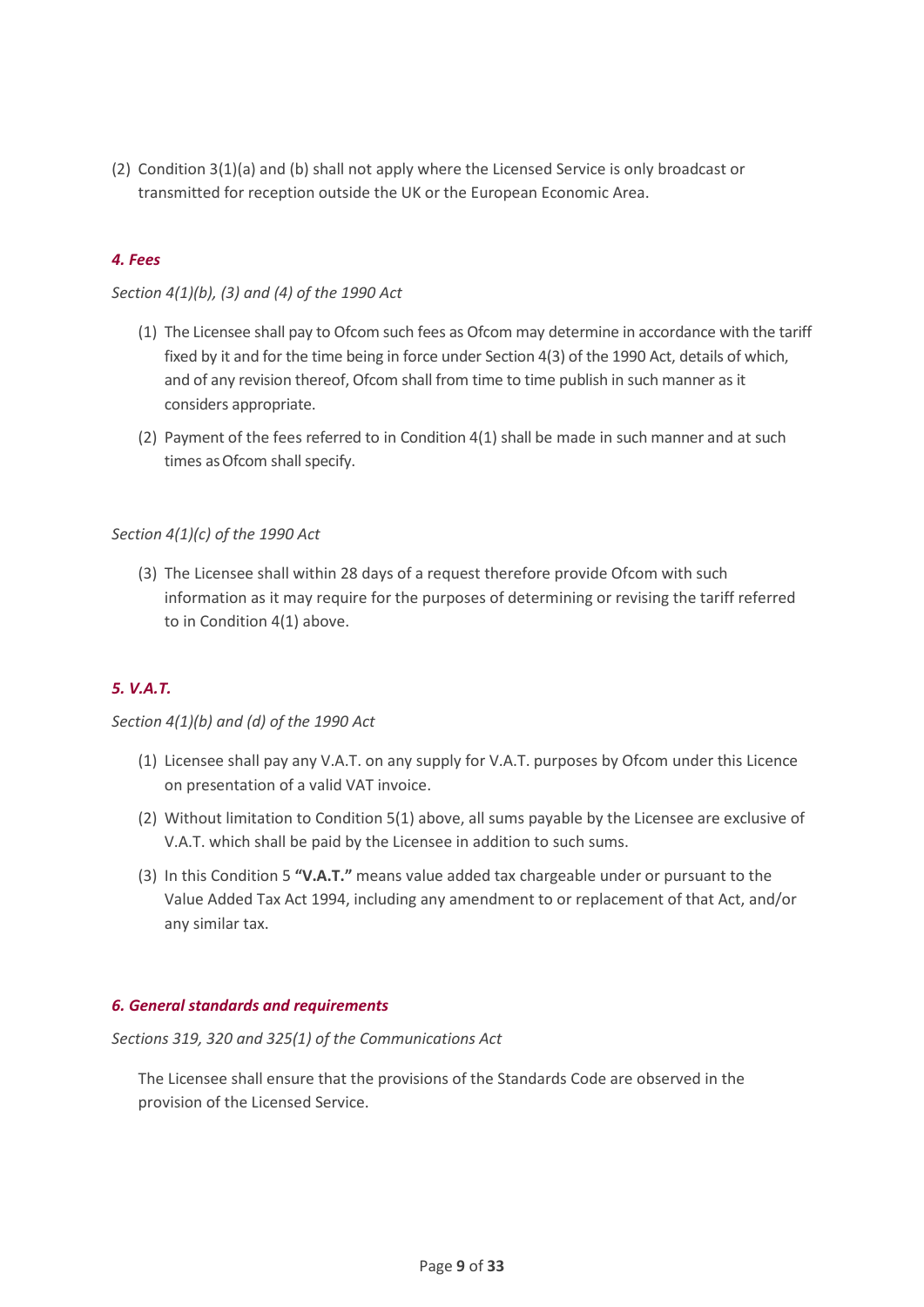(2) Condition 3(1)(a) and (b) shall not apply where the Licensed Service is only broadcast or transmitted for reception outside the UK or the European Economic Area.

## <span id="page-8-0"></span>*4. Fees*

## *Section 4(1)(b), (3) and (4) of the 1990 Act*

- (1) The Licensee shall pay to Ofcom such fees as Ofcom may determine in accordance with the tariff fixed by it and for the time being in force under Section 4(3) of the 1990 Act, details of which, and of any revision thereof, Ofcom shall from time to time publish in such manner as it considers appropriate.
- (2) Payment of the fees referred to in Condition 4(1) shall be made in such manner and at such times asOfcom shall specify.

#### *Section 4(1)(c) of the 1990 Act*

(3) The Licensee shall within 28 days of a request therefore provide Ofcom with such information as it may require for the purposes of determining or revising the tariff referred to in Condition 4(1) above.

## <span id="page-8-1"></span>*5. V.A.T.*

#### *Section 4(1)(b) and (d) of the 1990 Act*

- (1) Licensee shall pay any V.A.T. on any supply for V.A.T. purposes by Ofcom under this Licence on presentation of a valid VAT invoice.
- (2) Without limitation to Condition 5(1) above, all sums payable by the Licensee are exclusive of V.A.T. which shall be paid by the Licensee in addition to such sums.
- (3) In this Condition 5 **"V.A.T."** means value added tax chargeable under or pursuant to the Value Added Tax Act 1994, including any amendment to or replacement of that Act, and/or any similar tax.

#### <span id="page-8-2"></span>*6. General standards and requirements*

*Sections 319, 320 and 325(1) of the Communications Act*

The Licensee shall ensure that the provisions of the Standards Code are observed in the provision of the Licensed Service.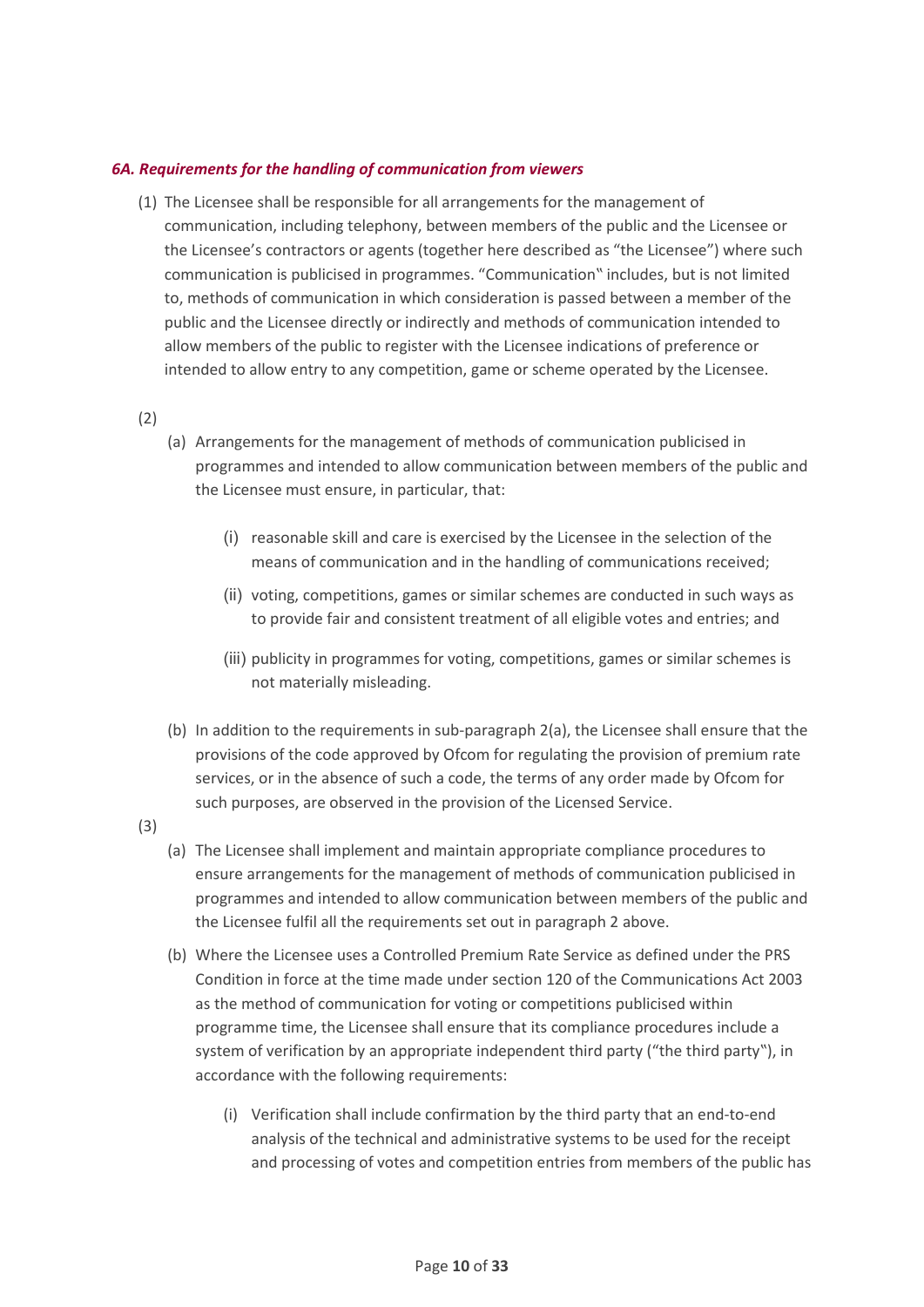#### <span id="page-9-0"></span>*6A. Requirements for the handling of communication from viewers*

(1) The Licensee shall be responsible for all arrangements for the management of communication, including telephony, between members of the public and the Licensee or the Licensee's contractors or agents (together here described as "the Licensee") where such communication is publicised in programmes. "Communication" includes, but is not limited to, methods of communication in which consideration is passed between a member of the public and the Licensee directly or indirectly and methods of communication intended to allow members of the public to register with the Licensee indications of preference or intended to allow entry to any competition, game or scheme operated by the Licensee.

(2)

- (a) Arrangements for the management of methods of communication publicised in programmes and intended to allow communication between members of the public and the Licensee must ensure, in particular, that:
	- (i) reasonable skill and care is exercised by the Licensee in the selection of the means of communication and in the handling of communications received;
	- (ii) voting, competitions, games or similar schemes are conducted in such ways as to provide fair and consistent treatment of all eligible votes and entries; and
	- (iii) publicity in programmes for voting, competitions, games or similar schemes is not materially misleading.
- (b) In addition to the requirements in sub-paragraph 2(a), the Licensee shall ensure that the provisions of the code approved by Ofcom for regulating the provision of premium rate services, or in the absence of such a code, the terms of any order made by Ofcom for such purposes, are observed in the provision of the Licensed Service.
- (3)
- (a) The Licensee shall implement and maintain appropriate compliance procedures to ensure arrangements for the management of methods of communication publicised in programmes and intended to allow communication between members of the public and the Licensee fulfil all the requirements set out in paragraph 2 above.
- (b) Where the Licensee uses a Controlled Premium Rate Service as defined under the PRS Condition in force at the time made under section 120 of the Communications Act 2003 as the method of communication for voting or competitions publicised within programme time, the Licensee shall ensure that its compliance procedures include a system of verification by an appropriate independent third party ("the third party"), in accordance with the following requirements:
	- (i) Verification shall include confirmation by the third party that an end-to-end analysis of the technical and administrative systems to be used for the receipt and processing of votes and competition entries from members of the public has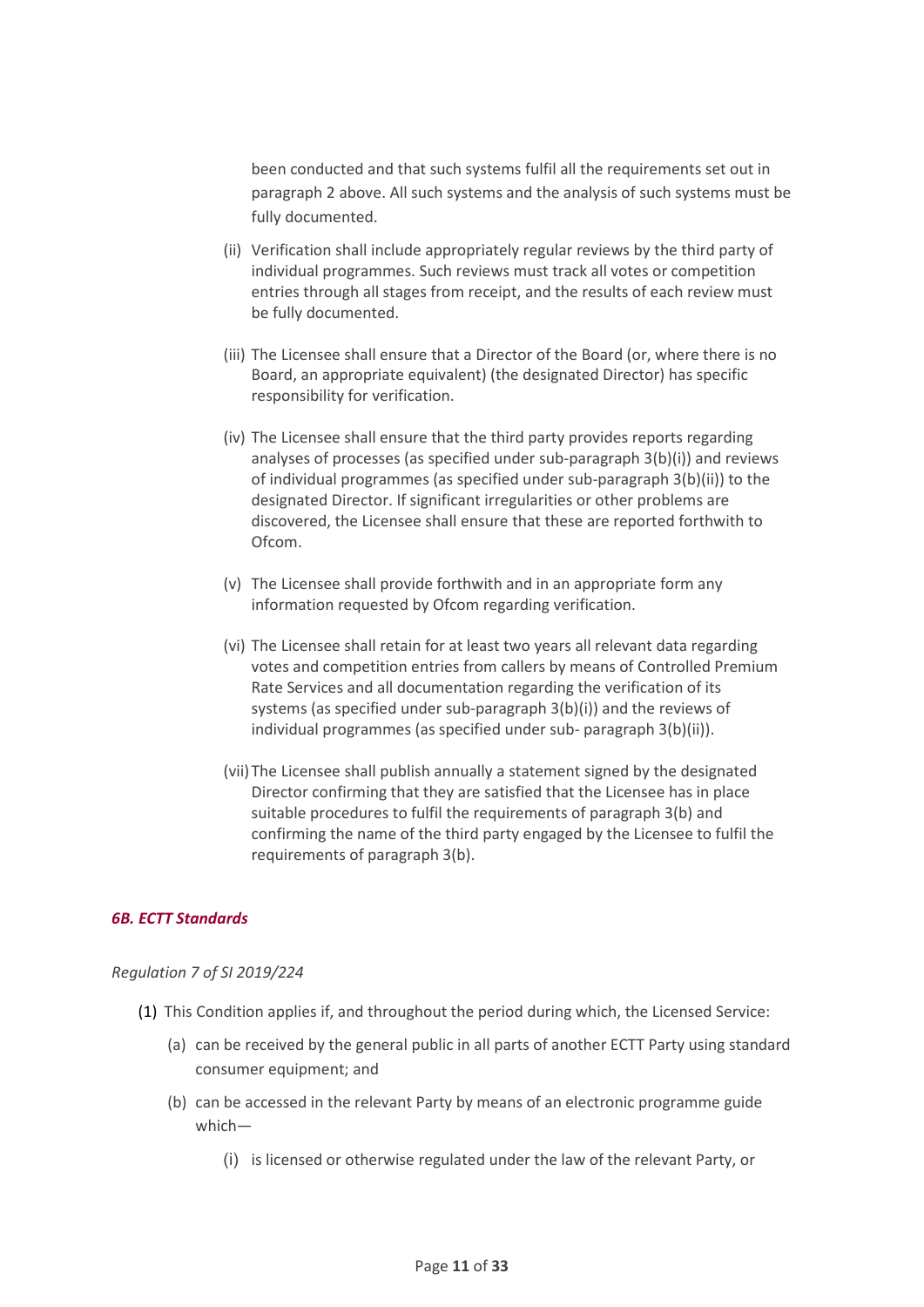been conducted and that such systems fulfil all the requirements set out in paragraph 2 above. All such systems and the analysis of such systems must be fully documented.

- (ii) Verification shall include appropriately regular reviews by the third party of individual programmes. Such reviews must track all votes or competition entries through all stages from receipt, and the results of each review must be fully documented.
- (iii) The Licensee shall ensure that a Director of the Board (or, where there is no Board, an appropriate equivalent) (the designated Director) has specific responsibility for verification.
- (iv) The Licensee shall ensure that the third party provides reports regarding analyses of processes (as specified under sub-paragraph 3(b)(i)) and reviews of individual programmes (as specified under sub-paragraph 3(b)(ii)) to the designated Director. If significant irregularities or other problems are discovered, the Licensee shall ensure that these are reported forthwith to Ofcom.
- (v) The Licensee shall provide forthwith and in an appropriate form any information requested by Ofcom regarding verification.
- (vi) The Licensee shall retain for at least two years all relevant data regarding votes and competition entries from callers by means of Controlled Premium Rate Services and all documentation regarding the verification of its systems (as specified under sub-paragraph 3(b)(i)) and the reviews of individual programmes (as specified under sub- paragraph 3(b)(ii)).
- (vii)The Licensee shall publish annually a statement signed by the designated Director confirming that they are satisfied that the Licensee has in place suitable procedures to fulfil the requirements of paragraph 3(b) and confirming the name of the third party engaged by the Licensee to fulfil the requirements of paragraph 3(b).

#### <span id="page-10-0"></span>*6B. ECTT Standards*

#### *Regulation 7 of SI 2019/224*

- (1) This Condition applies if, and throughout the period during which, the Licensed Service:
	- (a) can be received by the general public in all parts of another ECTT Party using standard consumer equipment; and
	- (b) can be accessed in the relevant Party by means of an electronic programme guide which—
		- (i) is licensed or otherwise regulated under the law of the relevant Party, or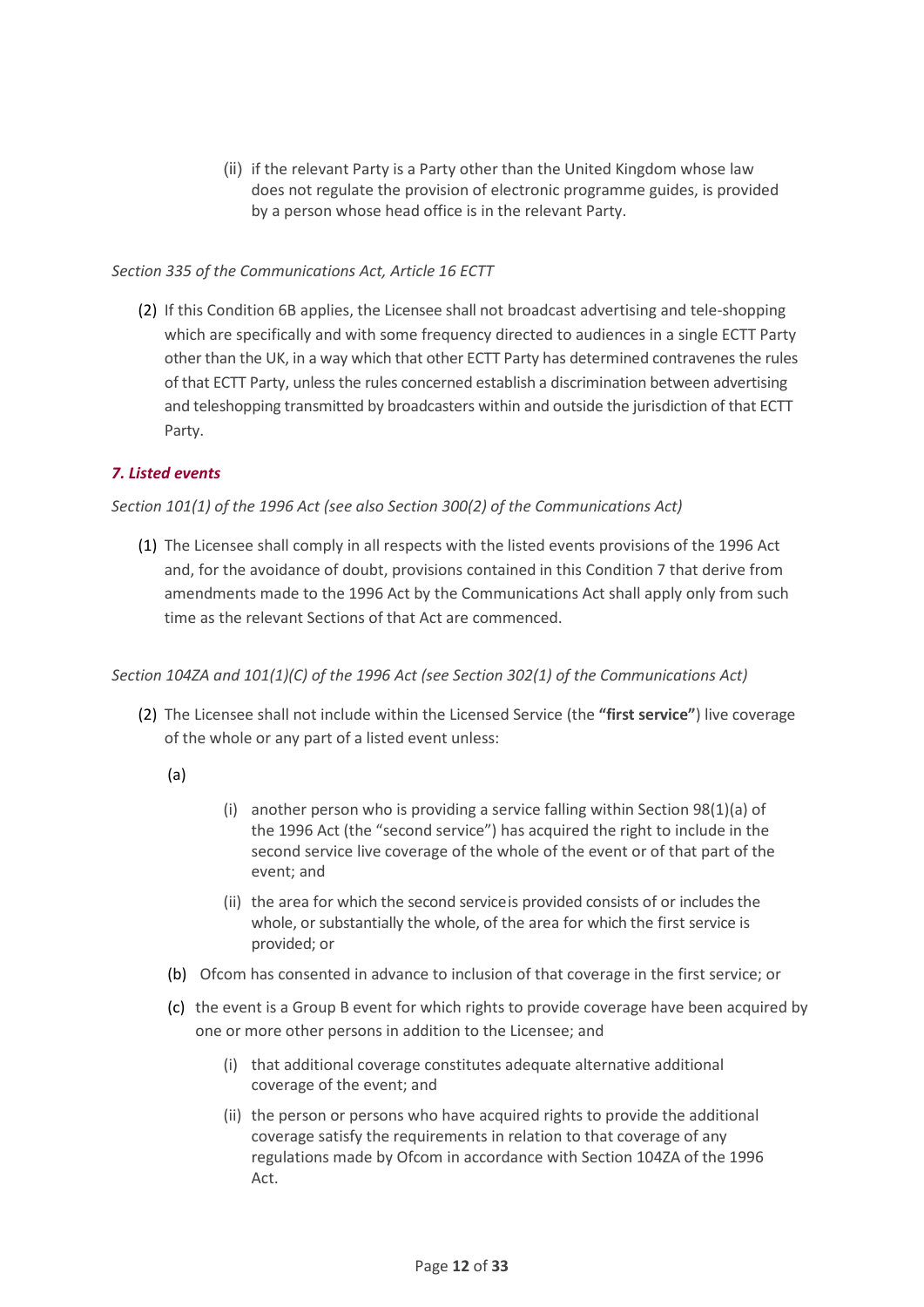(ii) if the relevant Party is a Party other than the United Kingdom whose law does not regulate the provision of electronic programme guides, is provided by a person whose head office is in the relevant Party.

#### *Section 335 of the Communications Act, Article 16 ECTT*

(2) If this Condition 6B applies, the Licensee shall not broadcast advertising and tele-shopping which are specifically and with some frequency directed to audiences in a single ECTT Party other than the UK, in a way which that other ECTT Party has determined contravenes the rules of that ECTT Party, unless the rules concerned establish a discrimination between advertising and teleshopping transmitted by broadcasters within and outside the jurisdiction of that ECTT Party.

## <span id="page-11-0"></span>*7. Listed events*

#### *Section 101(1) of the 1996 Act (see also Section 300(2) of the Communications Act)*

(1) The Licensee shall comply in all respects with the listed events provisions of the 1996 Act and, for the avoidance of doubt, provisions contained in this Condition 7 that derive from amendments made to the 1996 Act by the Communications Act shall apply only from such time as the relevant Sections of that Act are commenced.

#### *Section 104ZA and 101(1)(C) of the 1996 Act (see Section 302(1) of the Communications Act)*

- (2) The Licensee shall not include within the Licensed Service (the **"first service"**) live coverage of the whole or any part of a listed event unless:
	- (a)
- (i) another person who is providing a service falling within Section 98(1)(a) of the 1996 Act (the "second service") has acquired the right to include in the second service live coverage of the whole of the event or of that part of the event; and
- (ii) the area for which the second serviceis provided consists of or includes the whole, or substantially the whole, of the area for which the first service is provided; or
- (b) Ofcom has consented in advance to inclusion of that coverage in the first service; or
- (c) the event is a Group B event for which rights to provide coverage have been acquired by one or more other persons in addition to the Licensee; and
	- (i) that additional coverage constitutes adequate alternative additional coverage of the event; and
	- (ii) the person or persons who have acquired rights to provide the additional coverage satisfy the requirements in relation to that coverage of any regulations made by Ofcom in accordance with Section 104ZA of the 1996 Act.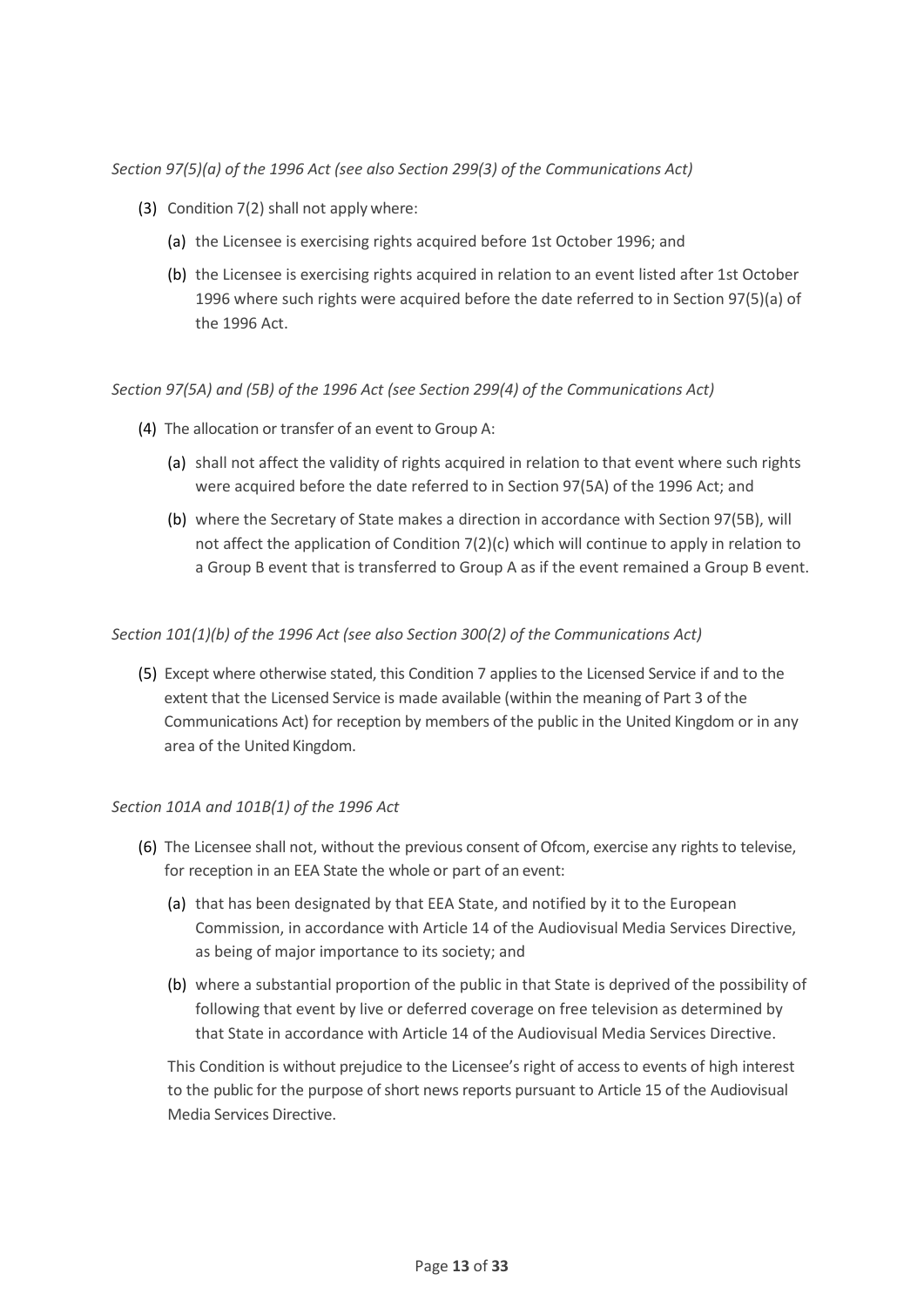*Section 97(5)(a) of the 1996 Act (see also Section 299(3) of the Communications Act)*

- (3) Condition 7(2) shall not apply where:
	- (a) the Licensee is exercising rights acquired before 1st October 1996; and
	- (b) the Licensee is exercising rights acquired in relation to an event listed after 1st October 1996 where such rights were acquired before the date referred to in Section 97(5)(a) of the 1996 Act.

#### *Section 97(5A) and (5B) of the 1996 Act (see Section 299(4) of the Communications Act)*

- (4) The allocation or transfer of an event to Group A:
	- (a) shall not affect the validity of rights acquired in relation to that event where such rights were acquired before the date referred to in Section 97(5A) of the 1996 Act; and
	- (b) where the Secretary of State makes a direction in accordance with Section 97(5B), will not affect the application of Condition 7(2)(c) which will continue to apply in relation to a Group B event that is transferred to Group A as if the event remained a Group B event.

#### *Section 101(1)(b) of the 1996 Act (see also Section 300(2) of the Communications Act)*

(5) Except where otherwise stated, this Condition 7 applies to the Licensed Service if and to the extent that the Licensed Service is made available (within the meaning of Part 3 of the Communications Act) for reception by members of the public in the United Kingdom or in any area of the United Kingdom.

#### *Section 101A and 101B(1) of the 1996 Act*

- (6) The Licensee shall not, without the previous consent of Ofcom, exercise any rights to televise, for reception in an EEA State the whole or part of an event:
	- (a) that has been designated by that EEA State, and notified by it to the European Commission, in accordance with Article 14 of the Audiovisual Media Services Directive, as being of major importance to its society; and
	- (b) where a substantial proportion of the public in that State is deprived of the possibility of following that event by live or deferred coverage on free television as determined by that State in accordance with Article 14 of the Audiovisual Media Services Directive.

This Condition is without prejudice to the Licensee's right of access to events of high interest to the public for the purpose of short news reports pursuant to Article 15 of the Audiovisual Media Services Directive.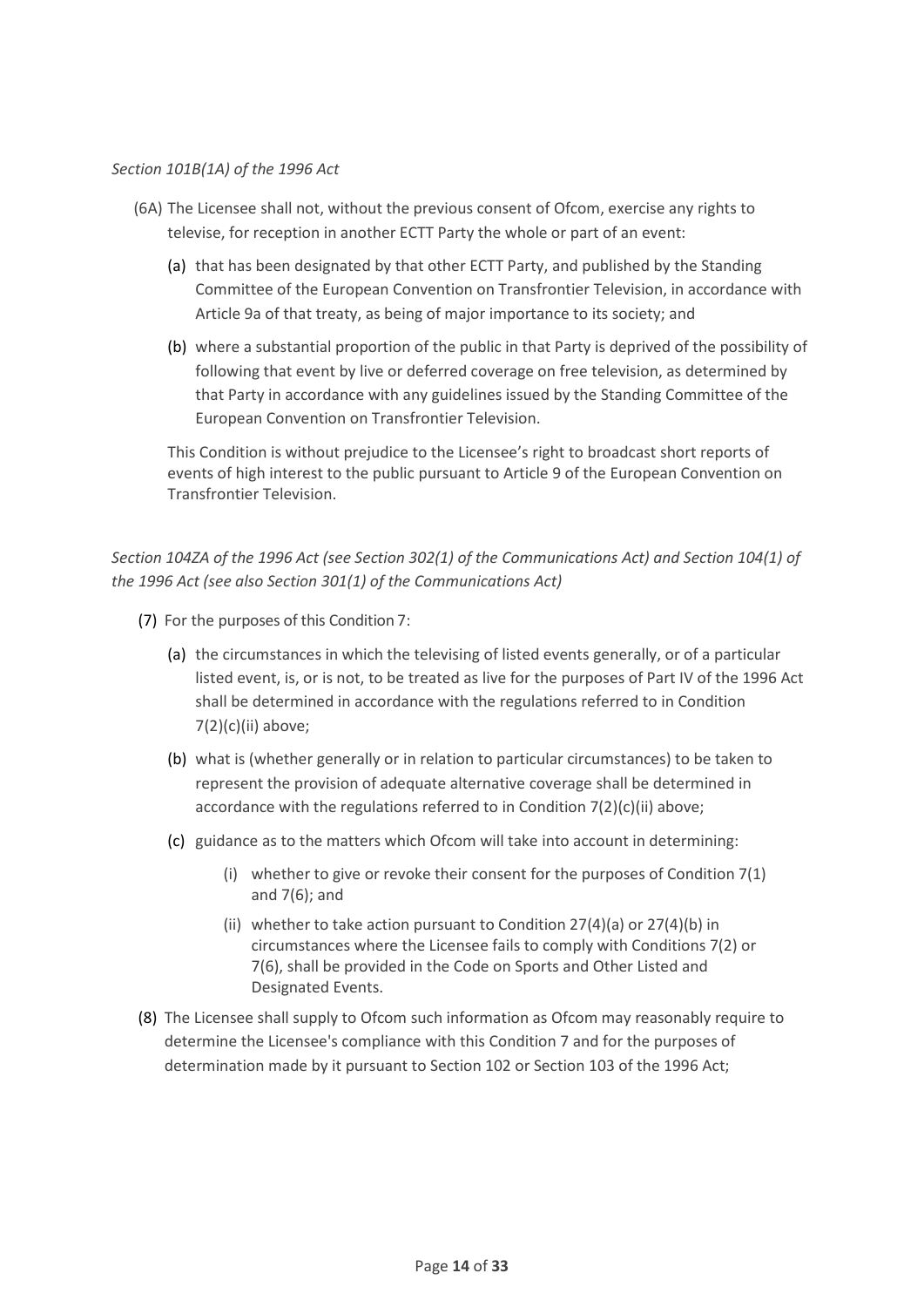#### *Section 101B(1A) of the 1996 Act*

- (6A) The Licensee shall not, without the previous consent of Ofcom, exercise any rights to televise, for reception in another ECTT Party the whole or part of an event:
	- (a) that has been designated by that other ECTT Party, and published by the Standing Committee of the European Convention on Transfrontier Television, in accordance with Article 9a of that treaty, as being of major importance to its society; and
	- (b) where a substantial proportion of the public in that Party is deprived of the possibility of following that event by live or deferred coverage on free television, as determined by that Party in accordance with any guidelines issued by the Standing Committee of the European Convention on Transfrontier Television.

This Condition is without prejudice to the Licensee's right to broadcast short reports of events of high interest to the public pursuant to Article 9 of the European Convention on Transfrontier Television.

*Section 104ZA of the 1996 Act (see Section 302(1) of the Communications Act) and Section 104(1) of the 1996 Act (see also Section 301(1) of the Communications Act)*

- (7) For the purposes of this Condition 7:
	- (a) the circumstances in which the televising of listed events generally, or of a particular listed event, is, or is not, to be treated as live for the purposes of Part IV of the 1996 Act shall be determined in accordance with the regulations referred to in Condition 7(2)(c)(ii) above;
	- (b) what is (whether generally or in relation to particular circumstances) to be taken to represent the provision of adequate alternative coverage shall be determined in accordance with the regulations referred to in Condition 7(2)(c)(ii) above;
	- (c) guidance as to the matters which Ofcom will take into account in determining:
		- (i) whether to give or revoke their consent for the purposes of Condition 7(1) and 7(6); and
		- (ii) whether to take action pursuant to Condition 27(4)(a) or 27(4)(b) in circumstances where the Licensee fails to comply with Conditions 7(2) or 7(6), shall be provided in the Code on Sports and Other Listed and Designated Events.
- (8) The Licensee shall supply to Ofcom such information as Ofcom may reasonably require to determine the Licensee's compliance with this Condition 7 and for the purposes of determination made by it pursuant to Section 102 or Section 103 of the 1996 Act;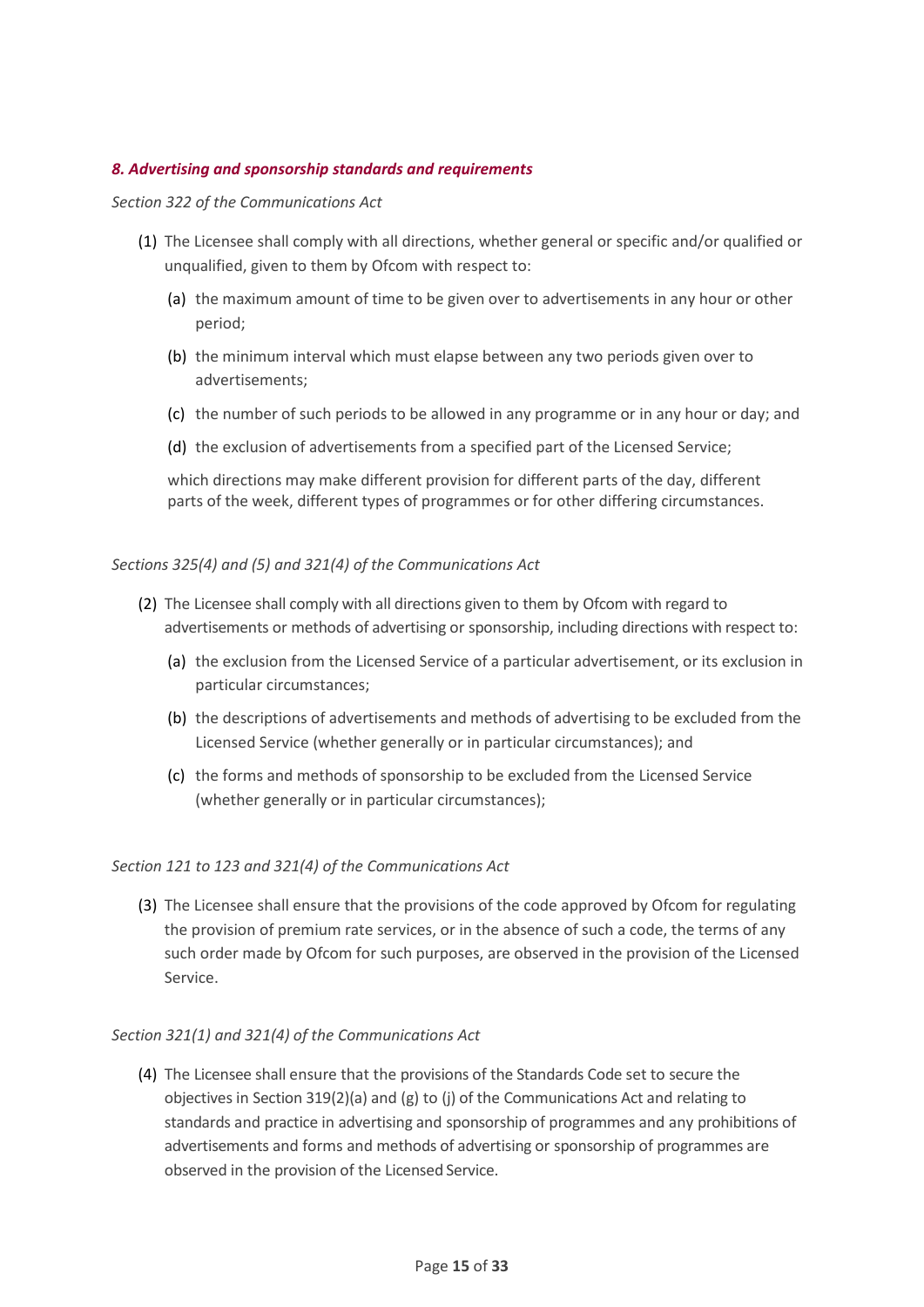#### <span id="page-14-0"></span>*8. Advertising and sponsorship standards and requirements*

#### *Section 322 of the Communications Act*

- (1) The Licensee shall comply with all directions, whether general or specific and/or qualified or unqualified, given to them by Ofcom with respect to:
	- (a) the maximum amount of time to be given over to advertisements in any hour or other period;
	- (b) the minimum interval which must elapse between any two periods given over to advertisements;
	- (c) the number of such periods to be allowed in any programme or in any hour or day; and
	- (d) the exclusion of advertisements from a specified part of the Licensed Service;

which directions may make different provision for different parts of the day, different parts of the week, different types of programmes or for other differing circumstances.

#### *Sections 325(4) and (5) and 321(4) of the Communications Act*

- (2) The Licensee shall comply with all directions given to them by Ofcom with regard to advertisements or methods of advertising or sponsorship, including directions with respect to:
	- (a) the exclusion from the Licensed Service of a particular advertisement, or its exclusion in particular circumstances;
	- (b) the descriptions of advertisements and methods of advertising to be excluded from the Licensed Service (whether generally or in particular circumstances); and
	- (c) the forms and methods of sponsorship to be excluded from the Licensed Service (whether generally or in particular circumstances);

#### *Section 121 to 123 and 321(4) of the Communications Act*

(3) The Licensee shall ensure that the provisions of the code approved by Ofcom for regulating the provision of premium rate services, or in the absence of such a code, the terms of any such order made by Ofcom for such purposes, are observed in the provision of the Licensed Service.

#### *Section 321(1) and 321(4) of the Communications Act*

(4) The Licensee shall ensure that the provisions of the Standards Code set to secure the objectives in Section 319(2)(a) and (g) to (j) of the Communications Act and relating to standards and practice in advertising and sponsorship of programmes and any prohibitions of advertisements and forms and methods of advertising or sponsorship of programmes are observed in the provision of the Licensed Service.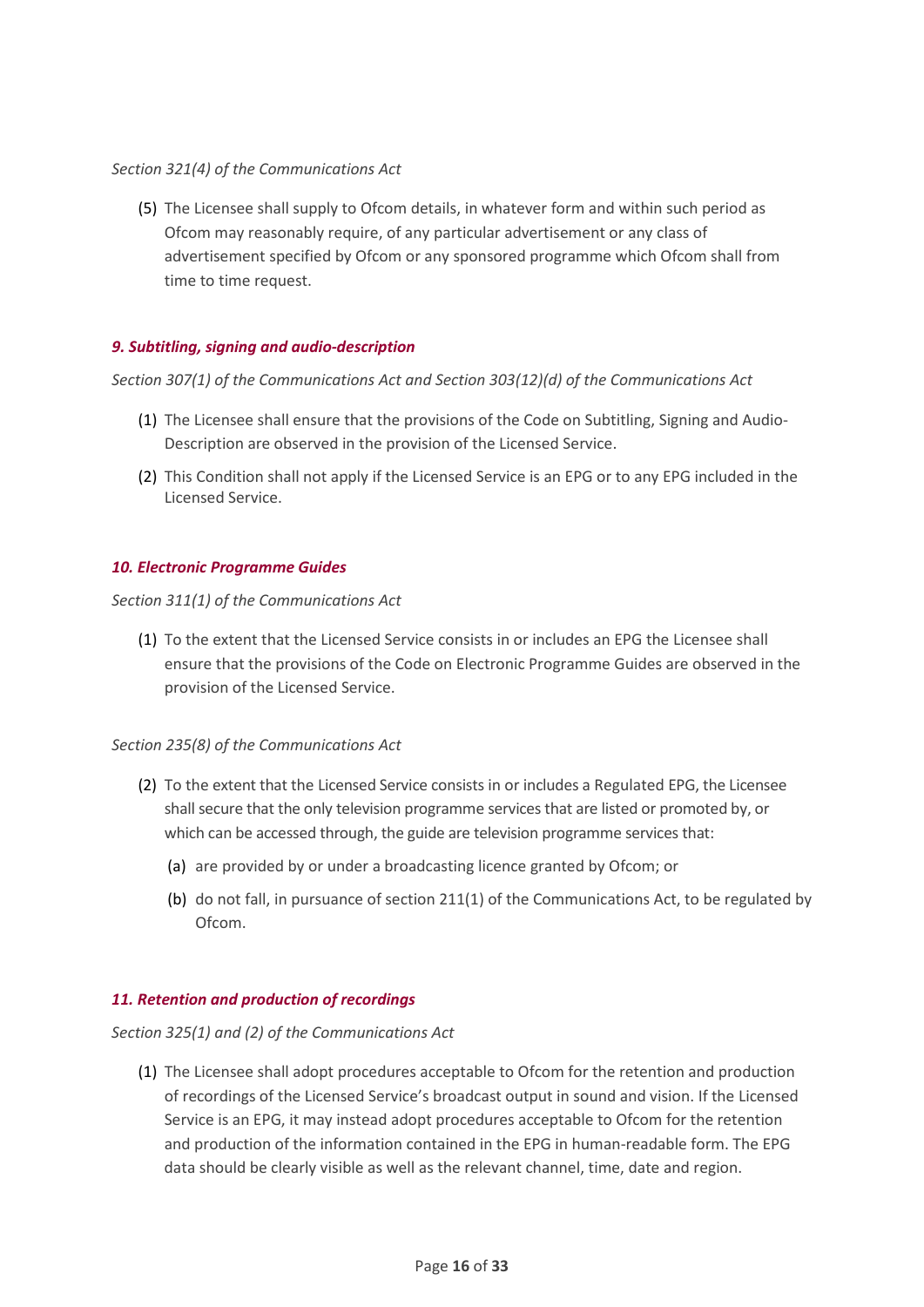#### *Section 321(4) of the Communications Act*

(5) The Licensee shall supply to Ofcom details, in whatever form and within such period as Ofcom may reasonably require, of any particular advertisement or any class of advertisement specified by Ofcom or any sponsored programme which Ofcom shall from time to time request.

#### <span id="page-15-0"></span>*9. Subtitling, signing and audio-description*

*Section 307(1) of the Communications Act and Section 303(12)(d) of the Communications Act*

- (1) The Licensee shall ensure that the provisions of the Code on Subtitling, Signing and Audio-Description are observed in the provision of the Licensed Service.
- (2) This Condition shall not apply if the Licensed Service is an EPG or to any EPG included in the Licensed Service.

#### <span id="page-15-1"></span>*10. Electronic Programme Guides*

#### *Section 311(1) of the Communications Act*

(1) To the extent that the Licensed Service consists in or includes an EPG the Licensee shall ensure that the provisions of the Code on Electronic Programme Guides are observed in the provision of the Licensed Service.

#### *Section 235(8) of the Communications Act*

- (2) To the extent that the Licensed Service consists in or includes a Regulated EPG, the Licensee shall secure that the only television programme services that are listed or promoted by, or which can be accessed through, the guide are television programme services that:
	- (a) are provided by or under a broadcasting licence granted by Ofcom; or
	- (b) do not fall, in pursuance of section 211(1) of the Communications Act, to be regulated by Ofcom.

#### <span id="page-15-2"></span>*11. Retention and production of recordings*

*Section 325(1) and (2) of the Communications Act*

(1) The Licensee shall adopt procedures acceptable to Ofcom for the retention and production of recordings of the Licensed Service's broadcast output in sound and vision. If the Licensed Service is an EPG, it may instead adopt procedures acceptable to Ofcom for the retention and production of the information contained in the EPG in human-readable form. The EPG data should be clearly visible as well as the relevant channel, time, date and region.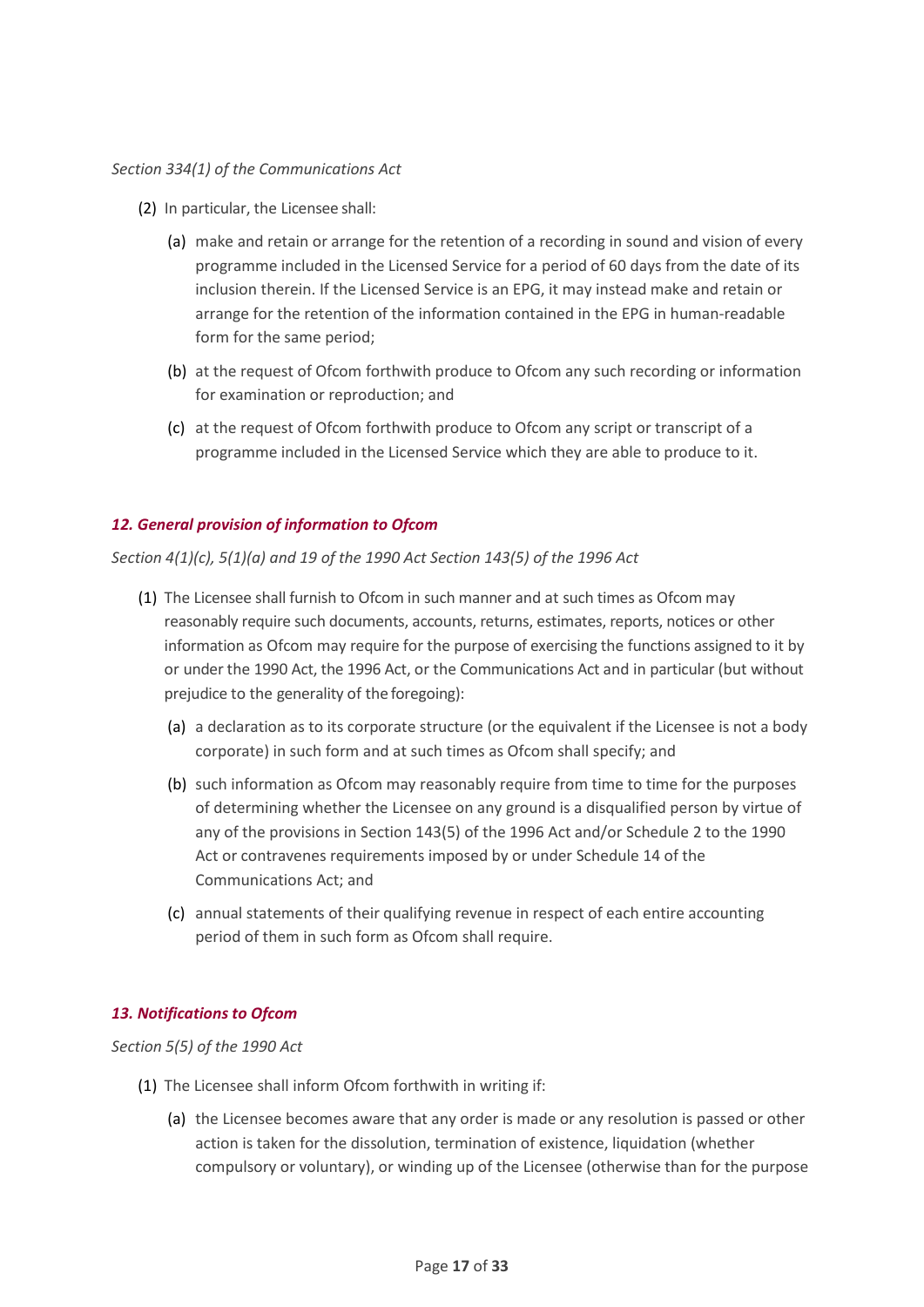#### *Section 334(1) of the Communications Act*

- (2) In particular, the Licensee shall:
	- (a) make and retain or arrange for the retention of a recording in sound and vision of every programme included in the Licensed Service for a period of 60 days from the date of its inclusion therein. If the Licensed Service is an EPG, it may instead make and retain or arrange for the retention of the information contained in the EPG in human-readable form for the same period;
	- (b) at the request of Ofcom forthwith produce to Ofcom any such recording or information for examination or reproduction; and
	- (c) at the request of Ofcom forthwith produce to Ofcom any script or transcript of a programme included in the Licensed Service which they are able to produce to it.

#### <span id="page-16-0"></span>*12. General provision of information to Ofcom*

*Section 4(1)(c), 5(1)(a) and 19 of the 1990 Act Section 143(5) of the 1996 Act* 

- (1) The Licensee shall furnish to Ofcom in such manner and at such times as Ofcom may reasonably require such documents, accounts, returns, estimates, reports, notices or other information as Ofcom may require for the purpose of exercising the functions assigned to it by or under the 1990 Act, the 1996 Act, or the Communications Act and in particular (but without prejudice to the generality of the foregoing):
	- (a) a declaration as to its corporate structure (or the equivalent if the Licensee is not a body corporate) in such form and at such times as Ofcom shall specify; and
	- (b) such information as Ofcom may reasonably require from time to time for the purposes of determining whether the Licensee on any ground is a disqualified person by virtue of any of the provisions in Section 143(5) of the 1996 Act and/or Schedule 2 to the 1990 Act or contravenes requirements imposed by or under Schedule 14 of the Communications Act; and
	- (c) annual statements of their qualifying revenue in respect of each entire accounting period of them in such form as Ofcom shall require.

## <span id="page-16-1"></span>*13. Notifications to Ofcom*

*Section 5(5) of the 1990 Act*

- (1) The Licensee shall inform Ofcom forthwith in writing if:
	- (a) the Licensee becomes aware that any order is made or any resolution is passed or other action is taken for the dissolution, termination of existence, liquidation (whether compulsory or voluntary), or winding up of the Licensee (otherwise than for the purpose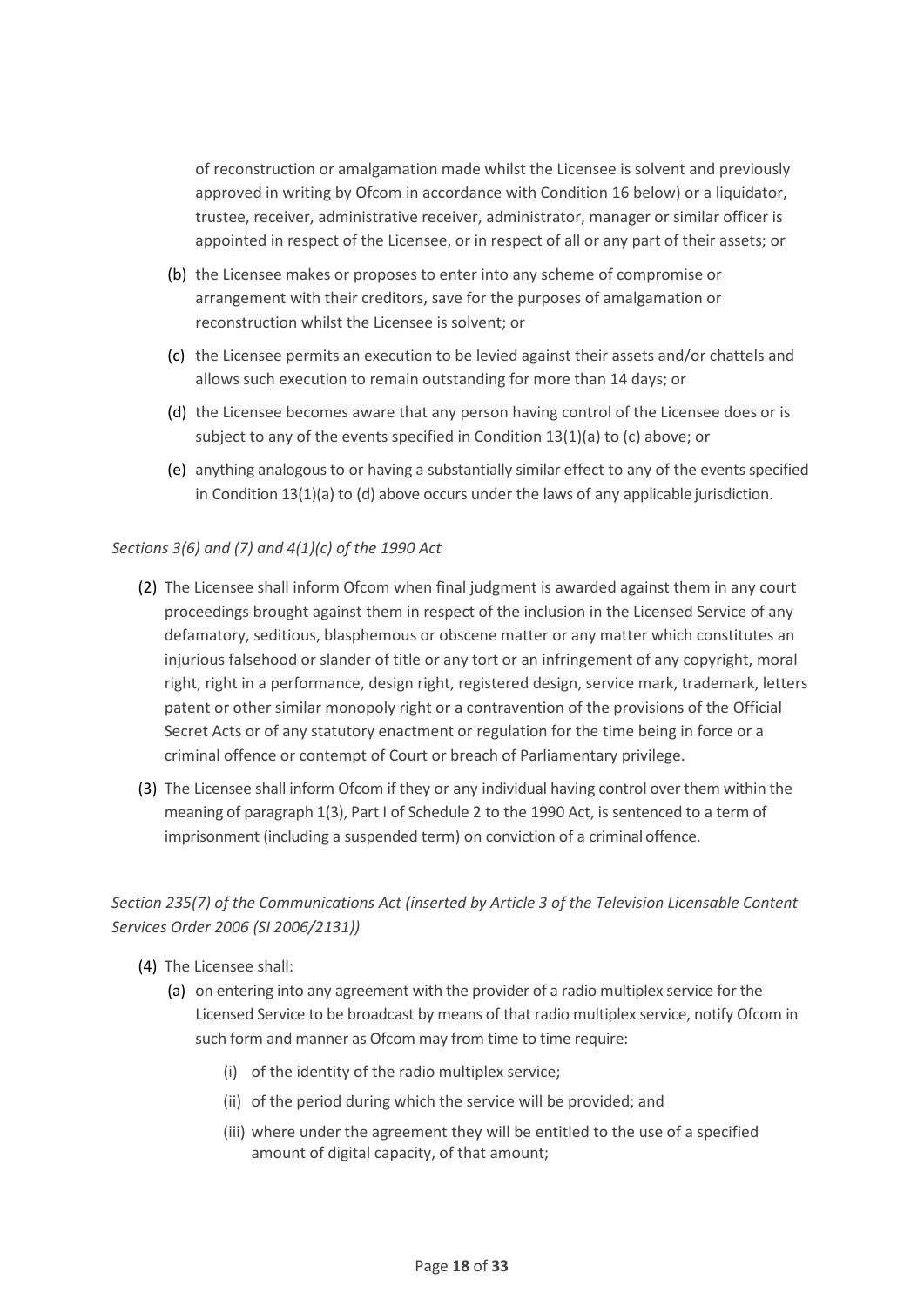of reconstruction or amalgamation made whilst the Licensee is solvent and previously approved in writing by Ofcom in accordance with Condition 16 below) or a liquidator, trustee, receiver, administrative receiver, administrator, manager or similar officer is appointed in respect of the Licensee, or in respect of all or any part of their assets; or

- (b) the Licensee makes or proposes to enter into any scheme of compromise or arrangement with their creditors, save for the purposes of amalgamation or reconstruction whilst the Licensee is solvent; or
- (c) the Licensee permits an execution to be levied against their assets and/or chattels and allows such execution to remain outstanding for more than 14 days; or
- (d) the Licensee becomes aware that any person having control of the Licensee does or is subject to any of the events specified in Condition 13(1)(a) to (c) above; or
- (e) anything analogous to or having a substantially similar effect to any of the events specified in Condition 13(1)(a) to (d) above occurs under the laws of any applicable jurisdiction.

#### *Sections 3(6) and (7) and 4(1)(c) of the 1990 Act*

- (2) The Licensee shall inform Ofcom when final judgment is awarded against them in any court proceedings brought against them in respect of the inclusion in the Licensed Service of any defamatory, seditious, blasphemous or obscene matter or any matter which constitutes an injurious falsehood or slander of title or any tort or an infringement of any copyright, moral right, right in a performance, design right, registered design, service mark, trademark, letters patent or other similar monopoly right or a contravention of the provisions of the Official Secret Acts or of any statutory enactment or regulation for the time being in force or a criminal offence or contempt of Court or breach of Parliamentary privilege.
- (3) The Licensee shall inform Ofcom if they or any individual having control over them within the meaning of paragraph 1(3), Part I of Schedule 2 to the 1990 Act, is sentenced to a term of imprisonment (including a suspended term) on conviction of a criminal offence.

## *Section 235(7) of the Communications Act (inserted by Article 3 of the Television Licensable Content Services Order 2006 (SI 2006/2131))*

- (4) The Licensee shall:
	- (a) on entering into any agreement with the provider of a radio multiplex service for the Licensed Service to be broadcast by means of that radio multiplex service, notify Ofcom in such form and manner as Ofcom may from time to time require:
		- (i) of the identity of the radio multiplex service;
		- (ii) of the period during which the service will be provided; and
		- (iii) where under the agreement they will be entitled to the use of a specified amount of digital capacity, of that amount;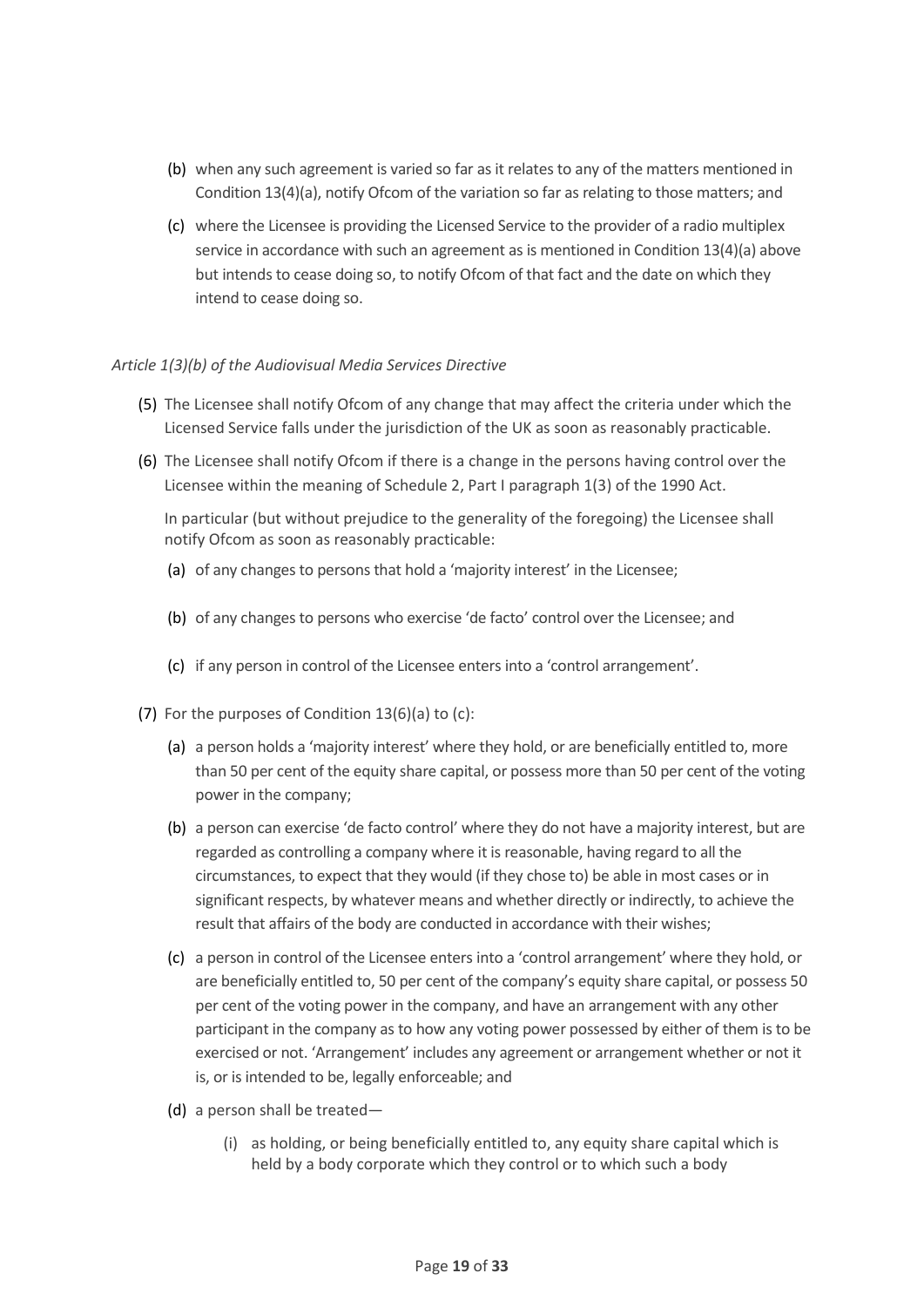- (b) when any such agreement is varied so far as it relates to any of the matters mentioned in Condition 13(4)(a), notify Ofcom of the variation so far as relating to those matters; and
- (c) where the Licensee is providing the Licensed Service to the provider of a radio multiplex service in accordance with such an agreement as is mentioned in Condition 13(4)(a) above but intends to cease doing so, to notify Ofcom of that fact and the date on which they intend to cease doing so.

#### *Article 1(3)(b) of the Audiovisual Media Services Directive*

- (5) The Licensee shall notify Ofcom of any change that may affect the criteria under which the Licensed Service falls under the jurisdiction of the UK as soon as reasonably practicable.
- (6) The Licensee shall notify Ofcom if there is a change in the persons having control over the Licensee within the meaning of Schedule 2, Part I paragraph 1(3) of the 1990 Act.

In particular (but without prejudice to the generality of the foregoing) the Licensee shall notify Ofcom as soon as reasonably practicable:

- (a) of any changes to persons that hold a 'majority interest' in the Licensee;
- (b) of any changes to persons who exercise 'de facto' control over the Licensee; and
- (c) if any person in control of the Licensee enters into a 'control arrangement'.
- (7) For the purposes of Condition 13(6)(a) to (c):
	- (a) a person holds a 'majority interest' where they hold, or are beneficially entitled to, more than 50 per cent of the equity share capital, or possess more than 50 per cent of the voting power in the company;
	- (b) a person can exercise 'de facto control' where they do not have a majority interest, but are regarded as controlling a company where it is reasonable, having regard to all the circumstances, to expect that they would (if they chose to) be able in most cases or in significant respects, by whatever means and whether directly or indirectly, to achieve the result that affairs of the body are conducted in accordance with their wishes;
	- (c) a person in control of the Licensee enters into a 'control arrangement' where they hold, or are beneficially entitled to, 50 per cent of the company's equity share capital, or possess 50 per cent of the voting power in the company, and have an arrangement with any other participant in the company as to how any voting power possessed by either of them is to be exercised or not. 'Arrangement' includes any agreement or arrangement whether or not it is, or is intended to be, legally enforceable; and
	- (d) a person shall be treated—
		- (i) as holding, or being beneficially entitled to, any equity share capital which is held by a body corporate which they control or to which such a body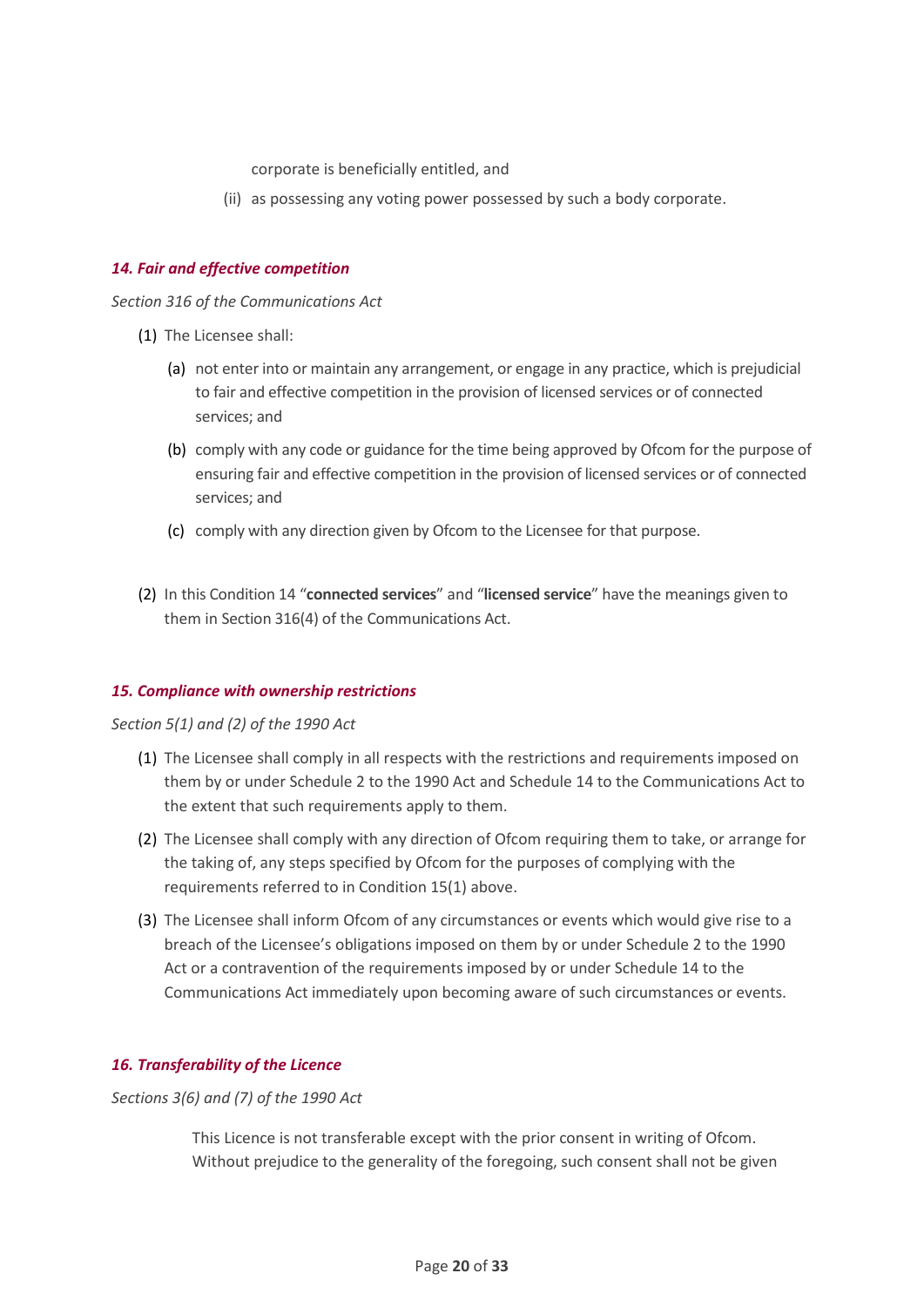corporate is beneficially entitled, and

(ii) as possessing any voting power possessed by such a body corporate.

#### <span id="page-19-0"></span>*14. Fair and effective competition*

*Section 316 of the Communications Act*

- (1) The Licensee shall:
	- (a) not enter into or maintain any arrangement, or engage in any practice, which is prejudicial to fair and effective competition in the provision of licensed services or of connected services; and
	- (b) comply with any code or guidance for the time being approved by Ofcom for the purpose of ensuring fair and effective competition in the provision of licensed services or of connected services; and
	- (c) comply with any direction given by Ofcom to the Licensee for that purpose.
- (2) In this Condition 14 "**connected services**" and "**licensed service**" have the meanings given to them in Section 316(4) of the Communications Act.

#### <span id="page-19-1"></span>*15. Compliance with ownership restrictions*

#### *Section 5(1) and (2) of the 1990 Act*

- (1) The Licensee shall comply in all respects with the restrictions and requirements imposed on them by or under Schedule 2 to the 1990 Act and Schedule 14 to the Communications Act to the extent that such requirements apply to them.
- (2) The Licensee shall comply with any direction of Ofcom requiring them to take, or arrange for the taking of, any steps specified by Ofcom for the purposes of complying with the requirements referred to in Condition 15(1) above.
- (3) The Licensee shall inform Ofcom of any circumstances or events which would give rise to a breach of the Licensee's obligations imposed on them by or under Schedule 2 to the 1990 Act or a contravention of the requirements imposed by or under Schedule 14 to the Communications Act immediately upon becoming aware of such circumstances or events.

## <span id="page-19-2"></span>*16. Transferability of the Licence*

*Sections 3(6) and (7) of the 1990 Act*

This Licence is not transferable except with the prior consent in writing of Ofcom. Without prejudice to the generality of the foregoing, such consent shall not be given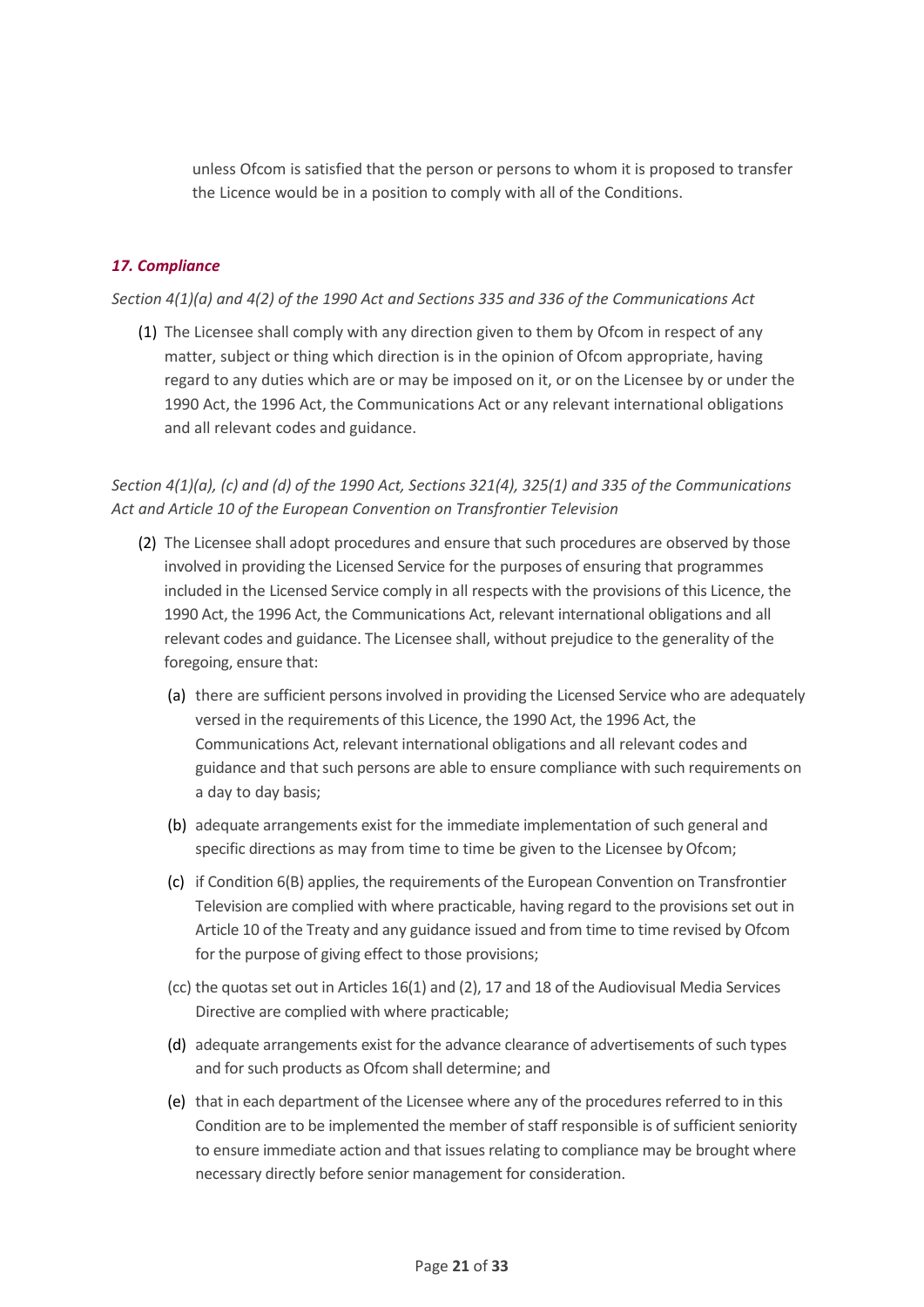unless Ofcom is satisfied that the person or persons to whom it is proposed to transfer the Licence would be in a position to comply with all of the Conditions.

## <span id="page-20-0"></span>*17. Compliance*

#### *Section 4(1)(a) and 4(2) of the 1990 Act and Sections 335 and 336 of the Communications Act*

(1) The Licensee shall comply with any direction given to them by Ofcom in respect of any matter, subject or thing which direction is in the opinion of Ofcom appropriate, having regard to any duties which are or may be imposed on it, or on the Licensee by or under the 1990 Act, the 1996 Act, the Communications Act or any relevant international obligations and all relevant codes and guidance.

*Section 4(1)(a), (c) and (d) of the 1990 Act, Sections 321(4), 325(1) and 335 of the Communications Act and Article 10 of the European Convention on Transfrontier Television* 

- (2) The Licensee shall adopt procedures and ensure that such procedures are observed by those involved in providing the Licensed Service for the purposes of ensuring that programmes included in the Licensed Service comply in all respects with the provisions of this Licence, the 1990 Act, the 1996 Act, the Communications Act, relevant international obligations and all relevant codes and guidance. The Licensee shall, without prejudice to the generality of the foregoing, ensure that:
	- (a) there are sufficient persons involved in providing the Licensed Service who are adequately versed in the requirements of this Licence, the 1990 Act, the 1996 Act, the Communications Act, relevant international obligations and all relevant codes and guidance and that such persons are able to ensure compliance with such requirements on a day to day basis;
	- (b) adequate arrangements exist for the immediate implementation of such general and specific directions as may from time to time be given to the Licensee by Ofcom;
	- (c) if Condition 6(B) applies, the requirements of the European Convention on Transfrontier Television are complied with where practicable, having regard to the provisions set out in Article 10 of the Treaty and any guidance issued and from time to time revised by Ofcom for the purpose of giving effect to those provisions;
	- (cc) the quotas set out in Articles 16(1) and (2), 17 and 18 of the Audiovisual Media Services Directive are complied with where practicable;
	- (d) adequate arrangements exist for the advance clearance of advertisements of such types and for such products as Ofcom shall determine; and
	- (e) that in each department of the Licensee where any of the procedures referred to in this Condition are to be implemented the member of staff responsible is of sufficient seniority to ensure immediate action and that issues relating to compliance may be brought where necessary directly before senior management for consideration.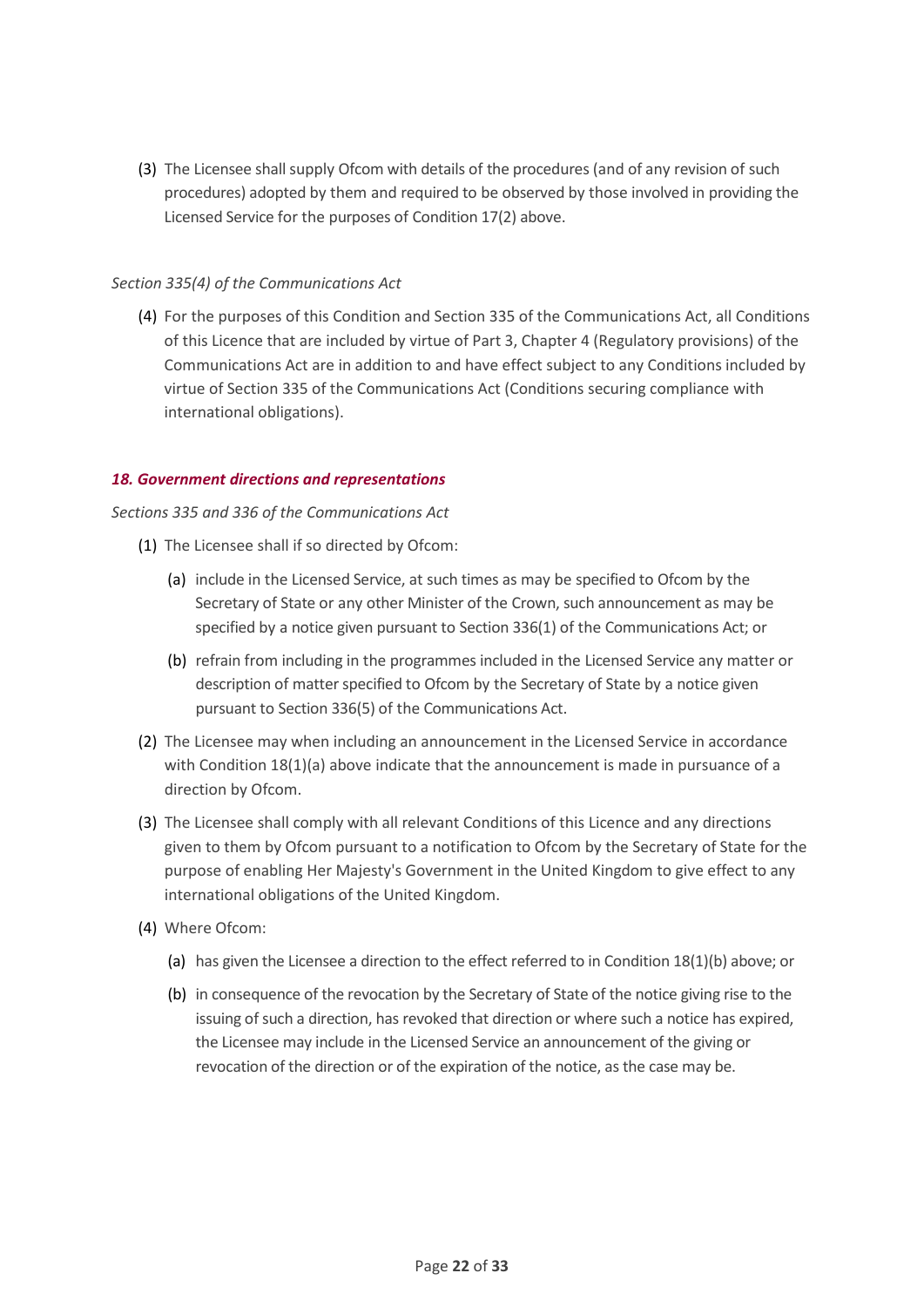(3) The Licensee shall supply Ofcom with details of the procedures (and of any revision of such procedures) adopted by them and required to be observed by those involved in providing the Licensed Service for the purposes of Condition 17(2) above.

#### *Section 335(4) of the Communications Act*

(4) For the purposes of this Condition and Section 335 of the Communications Act, all Conditions of this Licence that are included by virtue of Part 3, Chapter 4 (Regulatory provisions) of the Communications Act are in addition to and have effect subject to any Conditions included by virtue of Section 335 of the Communications Act (Conditions securing compliance with international obligations).

#### <span id="page-21-0"></span>*18. Government directions and representations*

#### *Sections 335 and 336 of the Communications Act*

- (1) The Licensee shall if so directed by Ofcom:
	- (a) include in the Licensed Service, at such times as may be specified to Ofcom by the Secretary of State or any other Minister of the Crown, such announcement as may be specified by a notice given pursuant to Section 336(1) of the Communications Act; or
	- (b) refrain from including in the programmes included in the Licensed Service any matter or description of matter specified to Ofcom by the Secretary of State by a notice given pursuant to Section 336(5) of the Communications Act.
- (2) The Licensee may when including an announcement in the Licensed Service in accordance with Condition  $18(1)(a)$  above indicate that the announcement is made in pursuance of a direction by Ofcom.
- (3) The Licensee shall comply with all relevant Conditions of this Licence and any directions given to them by Ofcom pursuant to a notification to Ofcom by the Secretary of State for the purpose of enabling Her Majesty's Government in the United Kingdom to give effect to any international obligations of the United Kingdom.
- (4) Where Ofcom:
	- (a) has given the Licensee a direction to the effect referred to in Condition 18(1)(b) above; or
	- (b) in consequence of the revocation by the Secretary of State of the notice giving rise to the issuing of such a direction, has revoked that direction or where such a notice has expired, the Licensee may include in the Licensed Service an announcement of the giving or revocation of the direction or of the expiration of the notice, as the case may be.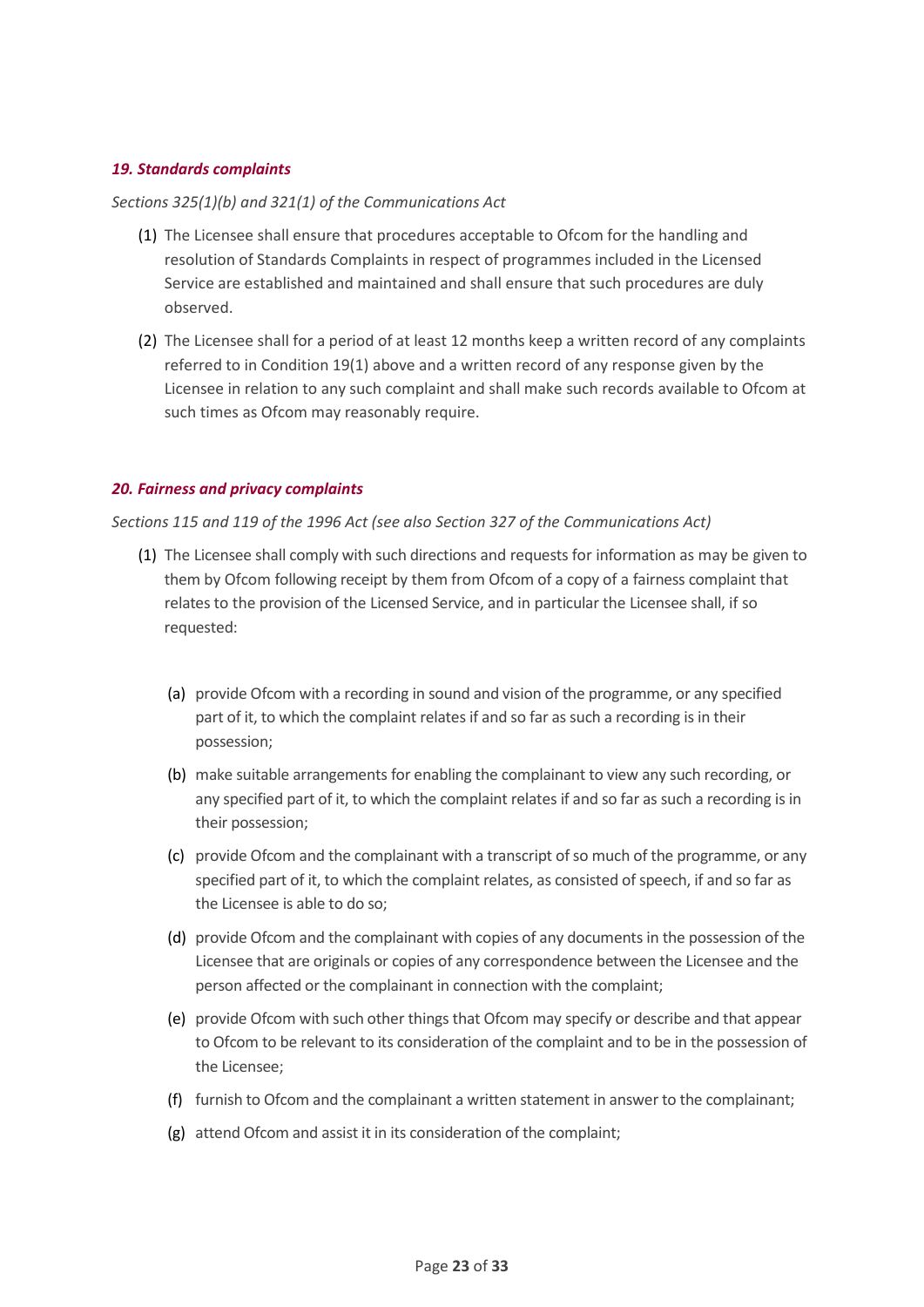#### <span id="page-22-0"></span>*19. Standards complaints*

#### *Sections 325(1)(b) and 321(1) of the Communications Act*

- (1) The Licensee shall ensure that procedures acceptable to Ofcom for the handling and resolution of Standards Complaints in respect of programmes included in the Licensed Service are established and maintained and shall ensure that such procedures are duly observed.
- (2) The Licensee shall for a period of at least 12 months keep a written record of any complaints referred to in Condition 19(1) above and a written record of any response given by the Licensee in relation to any such complaint and shall make such records available to Ofcom at such times as Ofcom may reasonably require.

#### <span id="page-22-1"></span>*20. Fairness and privacy complaints*

#### *Sections 115 and 119 of the 1996 Act (see also Section 327 of the Communications Act)*

- (1) The Licensee shall comply with such directions and requests for information as may be given to them by Ofcom following receipt by them from Ofcom of a copy of a fairness complaint that relates to the provision of the Licensed Service, and in particular the Licensee shall, if so requested:
	- (a) provide Ofcom with a recording in sound and vision of the programme, or any specified part of it, to which the complaint relates if and so far as such a recording is in their possession;
	- (b) make suitable arrangements for enabling the complainant to view any such recording, or any specified part of it, to which the complaint relates if and so far as such a recording is in their possession;
	- (c) provide Ofcom and the complainant with a transcript of so much of the programme, or any specified part of it, to which the complaint relates, as consisted of speech, if and so far as the Licensee is able to do so;
	- (d) provide Ofcom and the complainant with copies of any documents in the possession of the Licensee that are originals or copies of any correspondence between the Licensee and the person affected or the complainant in connection with the complaint;
	- (e) provide Ofcom with such other things that Ofcom may specify or describe and that appear to Ofcom to be relevant to its consideration of the complaint and to be in the possession of the Licensee;
	- (f) furnish to Ofcom and the complainant a written statement in answer to the complainant;
	- (g) attend Ofcom and assist it in its consideration of the complaint;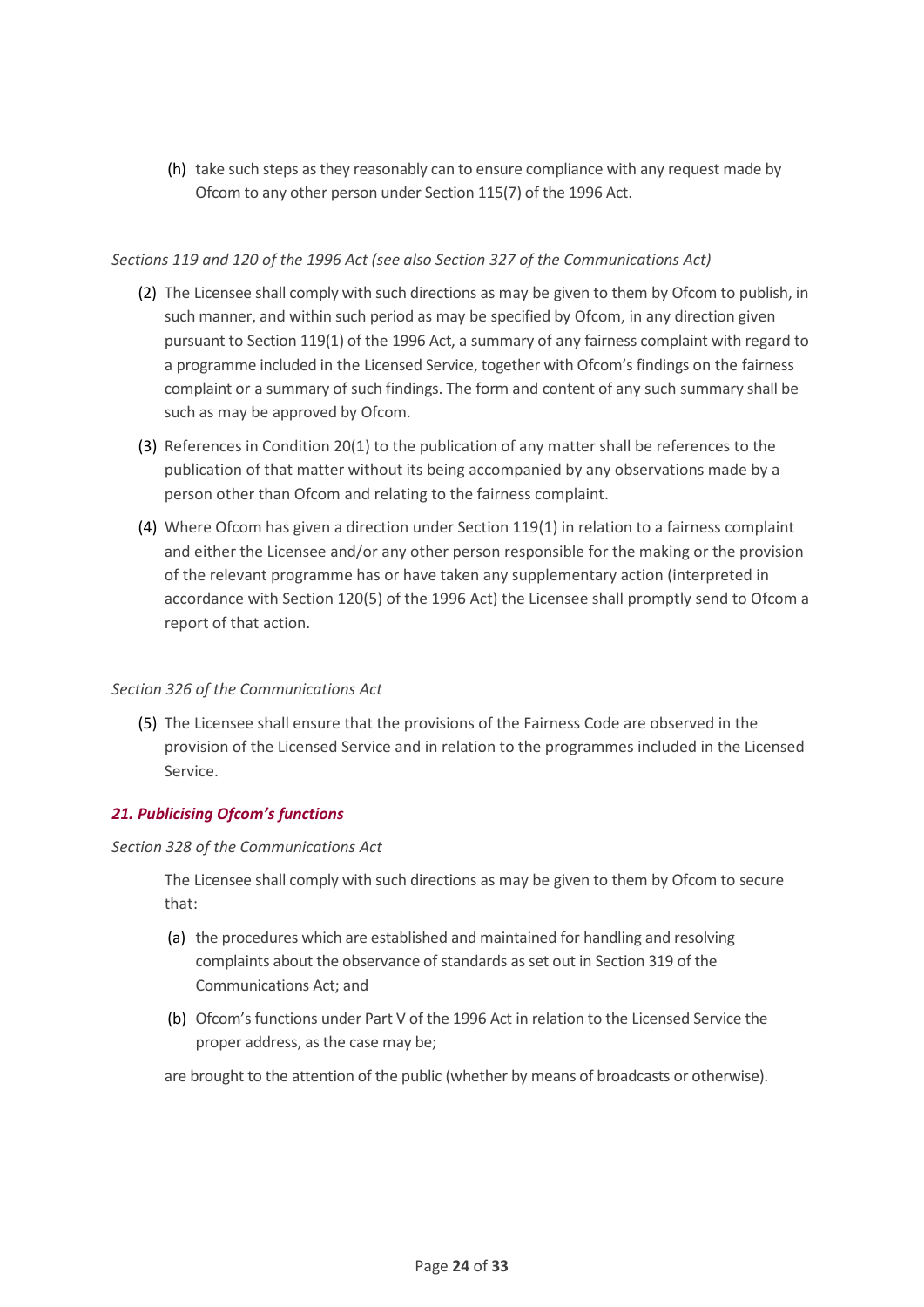(h) take such steps as they reasonably can to ensure compliance with any request made by Ofcom to any other person under Section 115(7) of the 1996 Act.

#### *Sections 119 and 120 of the 1996 Act (see also Section 327 of the Communications Act)*

- (2) The Licensee shall comply with such directions as may be given to them by Ofcom to publish, in such manner, and within such period as may be specified by Ofcom, in any direction given pursuant to Section 119(1) of the 1996 Act, a summary of any fairness complaint with regard to a programme included in the Licensed Service, together with Ofcom's findings on the fairness complaint or a summary of such findings. The form and content of any such summary shall be such as may be approved by Ofcom.
- (3) References in Condition 20(1) to the publication of any matter shall be references to the publication of that matter without its being accompanied by any observations made by a person other than Ofcom and relating to the fairness complaint.
- (4) Where Ofcom has given a direction under Section 119(1) in relation to a fairness complaint and either the Licensee and/or any other person responsible for the making or the provision of the relevant programme has or have taken any supplementary action (interpreted in accordance with Section 120(5) of the 1996 Act) the Licensee shall promptly send to Ofcom a report of that action.

#### *Section 326 of the Communications Act*

(5) The Licensee shall ensure that the provisions of the Fairness Code are observed in the provision of the Licensed Service and in relation to the programmes included in the Licensed Service.

#### <span id="page-23-0"></span>*21. Publicising Ofcom's functions*

#### *Section 328 of the Communications Act*

The Licensee shall comply with such directions as may be given to them by Ofcom to secure that:

- (a) the procedures which are established and maintained for handling and resolving complaints about the observance of standards as set out in Section 319 of the Communications Act; and
- (b) Ofcom's functions under Part V of the 1996 Act in relation to the Licensed Service the proper address, as the case may be;
- are brought to the attention of the public (whether by means of broadcasts or otherwise).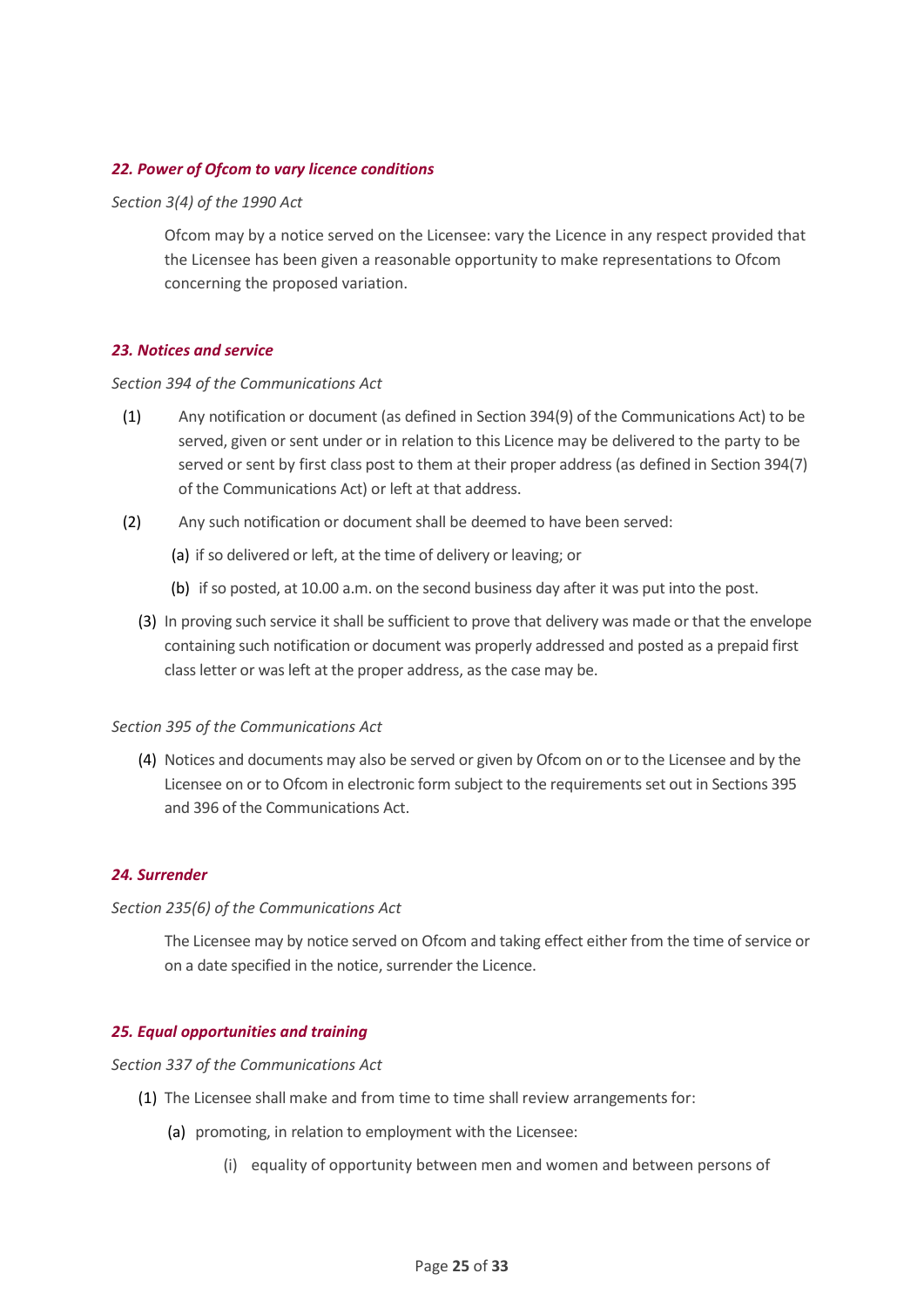#### <span id="page-24-0"></span>*22. Power of Ofcom to vary licence conditions*

#### *Section 3(4) of the 1990 Act*

Ofcom may by a notice served on the Licensee: vary the Licence in any respect provided that the Licensee has been given a reasonable opportunity to make representations to Ofcom concerning the proposed variation.

#### <span id="page-24-1"></span>*23. Notices and service*

#### *Section 394 of the Communications Act*

- (1) Any notification or document (as defined in Section 394(9) of the Communications Act) to be served, given or sent under or in relation to this Licence may be delivered to the party to be served or sent by first class post to them at their proper address (as defined in Section 394(7) of the Communications Act) or left at that address.
- (2) Any such notification or document shall be deemed to have been served:
	- (a) if so delivered or left, at the time of delivery or leaving; or
	- (b) if so posted, at 10.00 a.m. on the second business day after it was put into the post.
	- (3) In proving such service it shall be sufficient to prove that delivery was made or that the envelope containing such notification or document was properly addressed and posted as a prepaid first class letter or was left at the proper address, as the case may be.

#### *Section 395 of the Communications Act*

(4) Notices and documents may also be served or given by Ofcom on or to the Licensee and by the Licensee on or to Ofcom in electronic form subject to the requirements set out in Sections 395 and 396 of the Communications Act.

#### <span id="page-24-2"></span>*24. Surrender*

#### *Section 235(6) of the Communications Act*

The Licensee may by notice served on Ofcom and taking effect either from the time of service or on a date specified in the notice, surrender the Licence.

#### <span id="page-24-3"></span>*25. Equal opportunities and training*

*Section 337 of the Communications Act*

- (1) The Licensee shall make and from time to time shall review arrangements for:
	- (a) promoting, in relation to employment with the Licensee:
		- (i) equality of opportunity between men and women and between persons of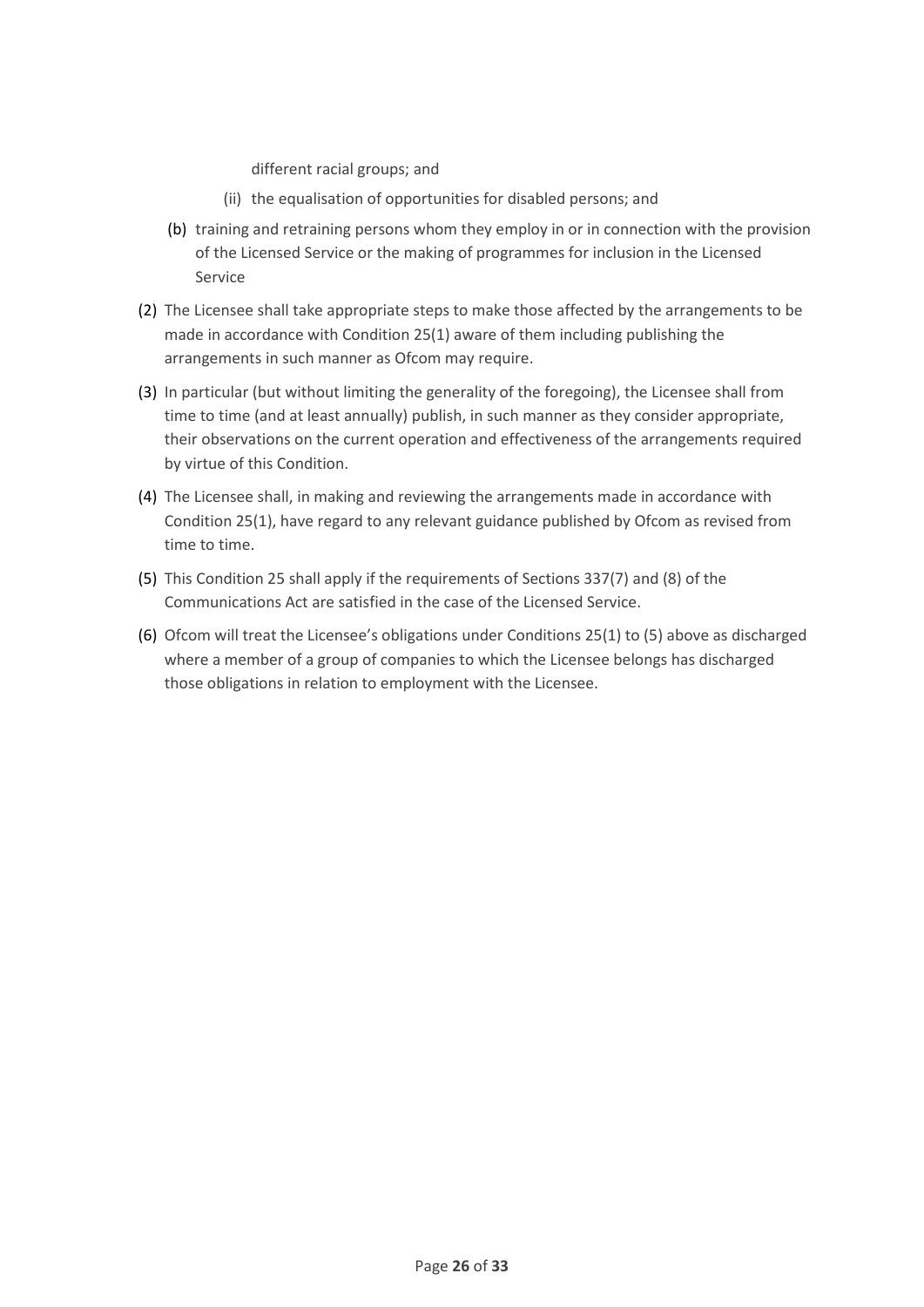different racial groups; and

- (ii) the equalisation of opportunities for disabled persons; and
- (b) training and retraining persons whom they employ in or in connection with the provision of the Licensed Service or the making of programmes for inclusion in the Licensed Service
- (2) The Licensee shall take appropriate steps to make those affected by the arrangements to be made in accordance with Condition 25(1) aware of them including publishing the arrangements in such manner as Ofcom may require.
- (3) In particular (but without limiting the generality of the foregoing), the Licensee shall from time to time (and at least annually) publish, in such manner as they consider appropriate, their observations on the current operation and effectiveness of the arrangements required by virtue of this Condition.
- (4) The Licensee shall, in making and reviewing the arrangements made in accordance with Condition 25(1), have regard to any relevant guidance published by Ofcom as revised from time to time.
- (5) This Condition 25 shall apply if the requirements of Sections 337(7) and (8) of the Communications Act are satisfied in the case of the Licensed Service.
- (6) Ofcom will treat the Licensee's obligations under Conditions 25(1) to (5) above as discharged where a member of a group of companies to which the Licensee belongs has discharged those obligations in relation to employment with the Licensee.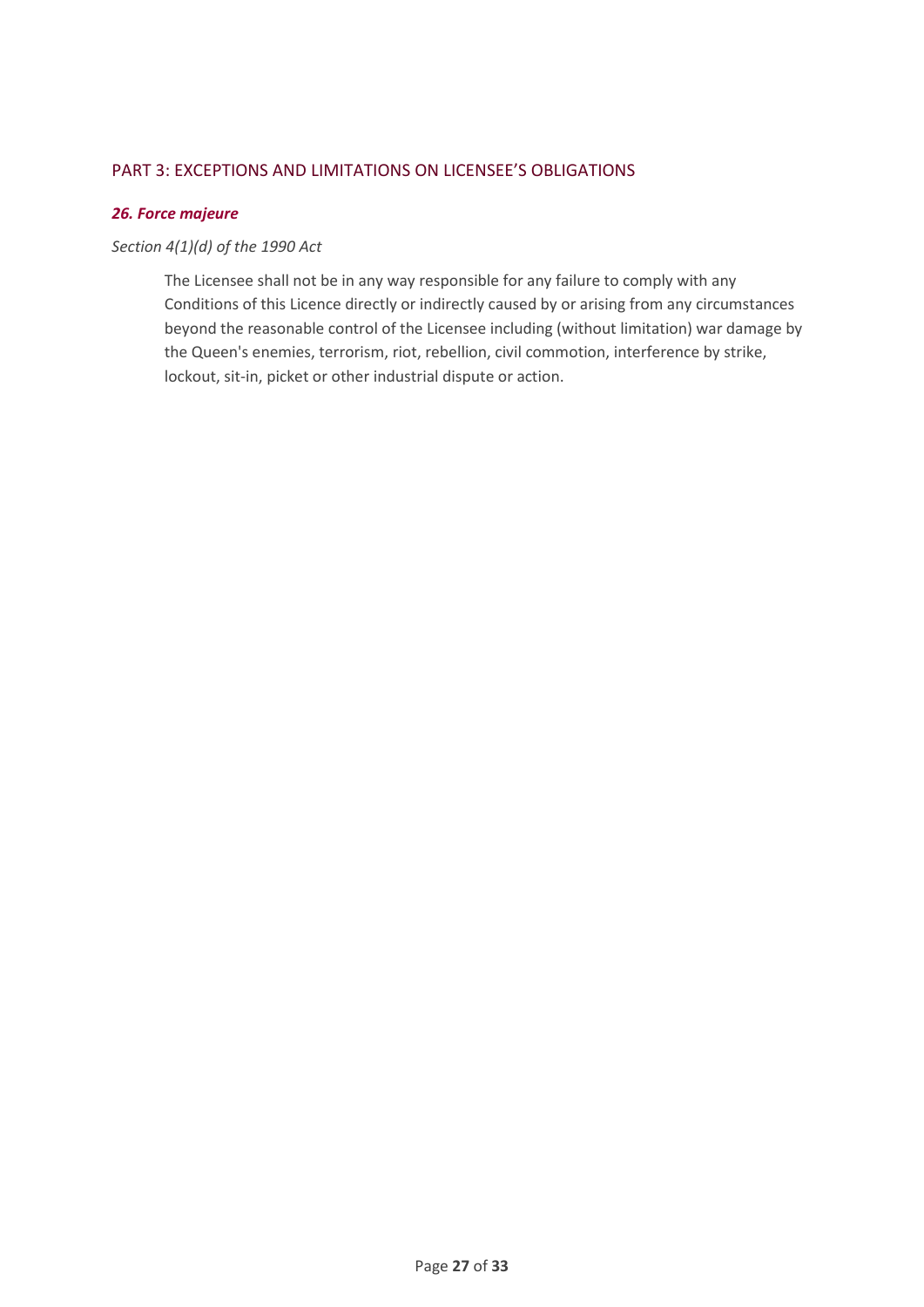## <span id="page-26-0"></span>PART 3: EXCEPTIONS AND LIMITATIONS ON LICENSEE'S OBLIGATIONS

## <span id="page-26-1"></span>*26. Force majeure*

## *Section 4(1)(d) of the 1990 Act*

The Licensee shall not be in any way responsible for any failure to comply with any Conditions of this Licence directly or indirectly caused by or arising from any circumstances beyond the reasonable control of the Licensee including (without limitation) war damage by the Queen's enemies, terrorism, riot, rebellion, civil commotion, interference by strike, lockout, sit-in, picket or other industrial dispute or action.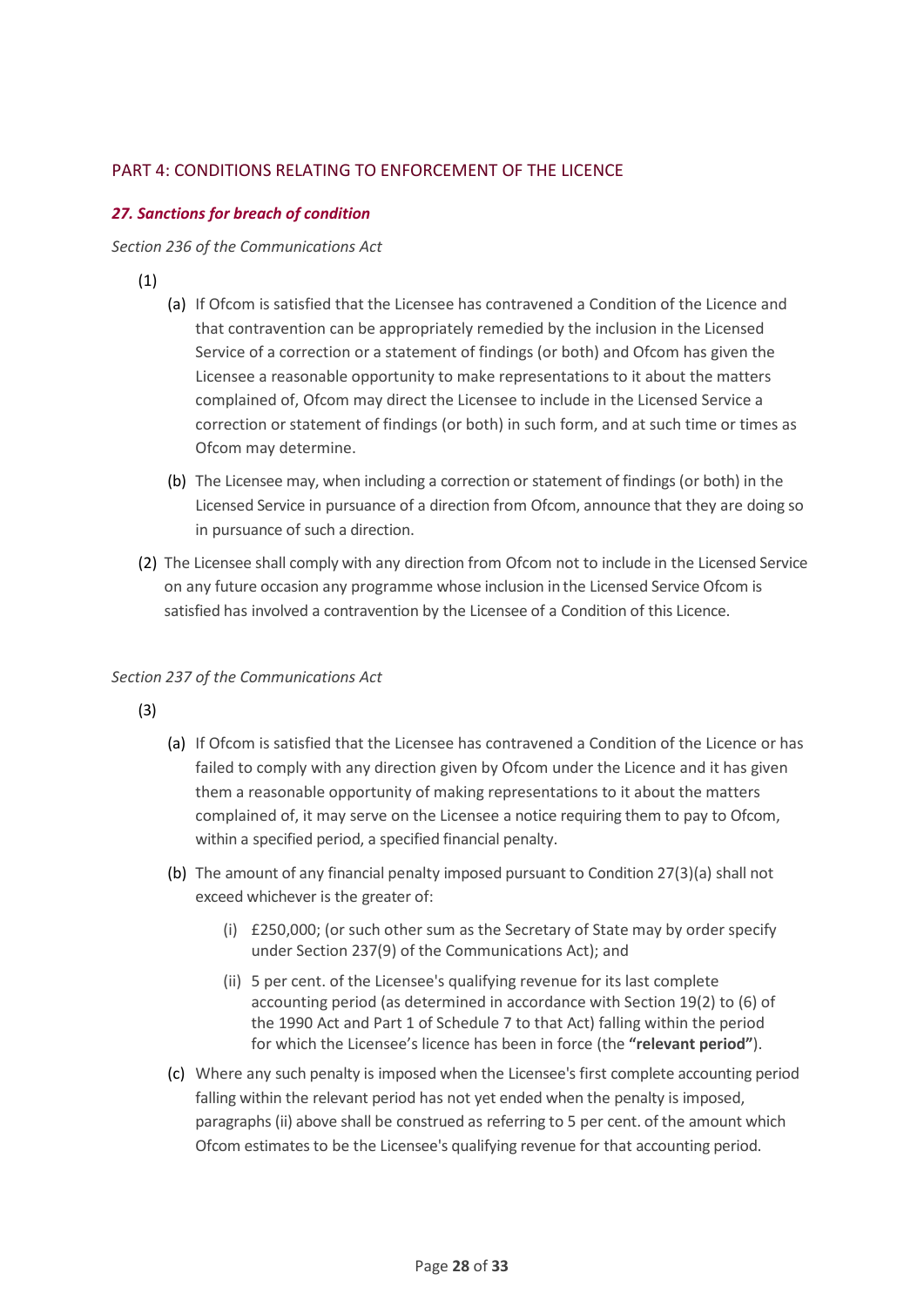## <span id="page-27-0"></span>PART 4: CONDITIONS RELATING TO ENFORCEMENT OF THE LICENCE

## <span id="page-27-1"></span>*27. Sanctions for breach of condition*

#### *Section 236 of the Communications Act*

(1)

- (a) If Ofcom is satisfied that the Licensee has contravened a Condition of the Licence and that contravention can be appropriately remedied by the inclusion in the Licensed Service of a correction or a statement of findings (or both) and Ofcom has given the Licensee a reasonable opportunity to make representations to it about the matters complained of, Ofcom may direct the Licensee to include in the Licensed Service a correction or statement of findings (or both) in such form, and at such time or times as Ofcom may determine.
- (b) The Licensee may, when including a correction or statement of findings (or both) in the Licensed Service in pursuance of a direction from Ofcom, announce that they are doing so in pursuance of such a direction.
- (2) The Licensee shall comply with any direction from Ofcom not to include in the Licensed Service on any future occasion any programme whose inclusion in the Licensed Service Ofcom is satisfied has involved a contravention by the Licensee of a Condition of this Licence.

## *Section 237 of the Communications Act*

(3)

- (a) If Ofcom is satisfied that the Licensee has contravened a Condition of the Licence or has failed to comply with any direction given by Ofcom under the Licence and it has given them a reasonable opportunity of making representations to it about the matters complained of, it may serve on the Licensee a notice requiring them to pay to Ofcom, within a specified period, a specified financial penalty.
- (b) The amount of any financial penalty imposed pursuant to Condition 27(3)(a) shall not exceed whichever is the greater of:
	- (i) £250,000; (or such other sum as the Secretary of State may by order specify under Section 237(9) of the Communications Act); and
	- (ii) 5 per cent. of the Licensee's qualifying revenue for its last complete accounting period (as determined in accordance with Section 19(2) to (6) of the 1990 Act and Part 1 of Schedule 7 to that Act) falling within the period for which the Licensee's licence has been in force (the **"relevant period"**).
- (c) Where any such penalty is imposed when the Licensee's first complete accounting period falling within the relevant period has not yet ended when the penalty is imposed, paragraphs (ii) above shall be construed as referring to 5 per cent. of the amount which Ofcom estimates to be the Licensee's qualifying revenue for that accounting period.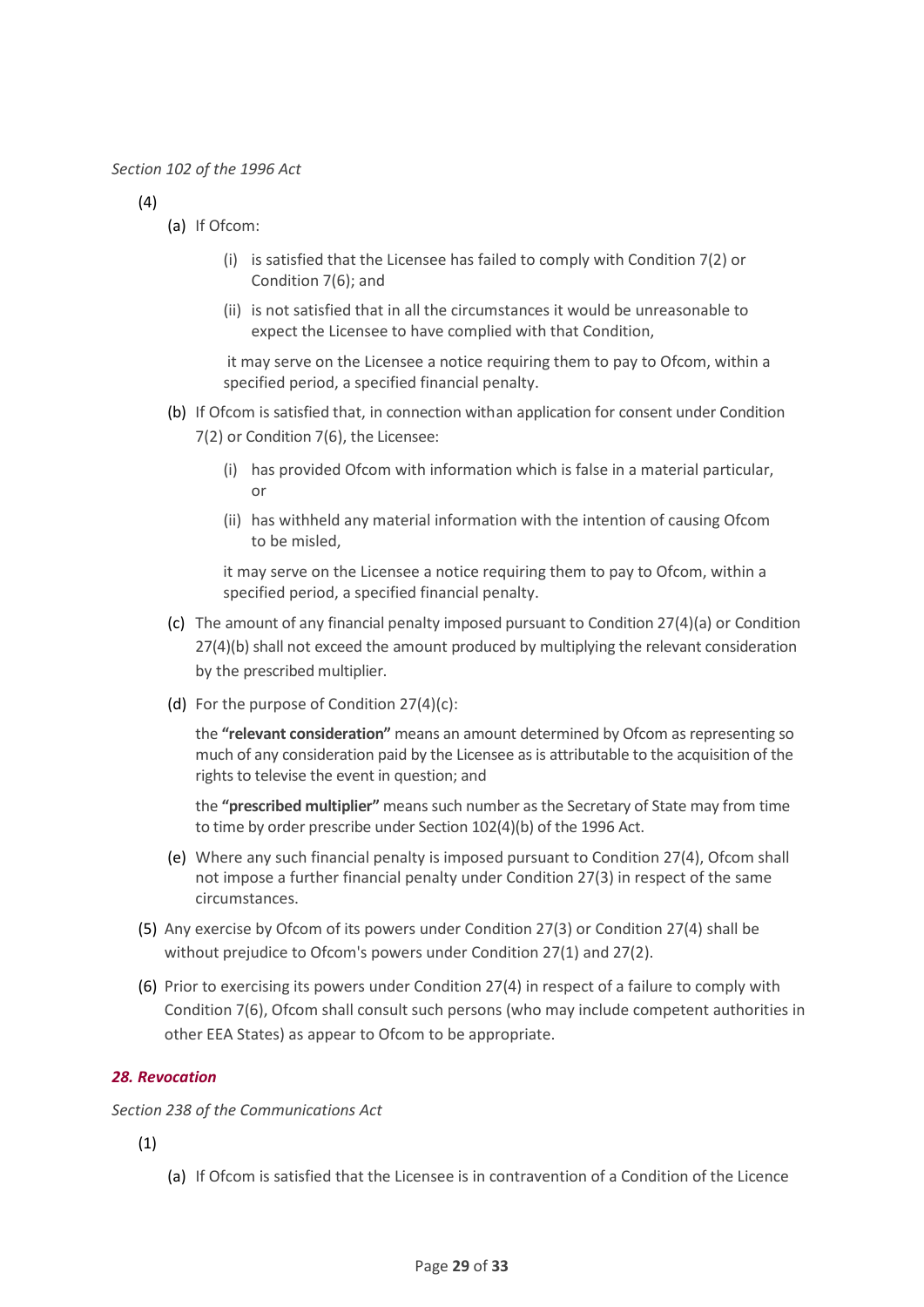(4)

- (a) If Ofcom:
	- (i) is satisfied that the Licensee has failed to comply with Condition 7(2) or Condition 7(6); and
	- (ii) is not satisfied that in all the circumstances it would be unreasonable to expect the Licensee to have complied with that Condition,

it may serve on the Licensee a notice requiring them to pay to Ofcom, within a specified period, a specified financial penalty.

- (b) If Ofcom is satisfied that, in connection withan application for consent under Condition 7(2) or Condition 7(6), the Licensee:
	- (i) has provided Ofcom with information which is false in a material particular, or
	- (ii) has withheld any material information with the intention of causing Ofcom to be misled,

it may serve on the Licensee a notice requiring them to pay to Ofcom, within a specified period, a specified financial penalty.

- (c) The amount of any financial penalty imposed pursuant to Condition 27(4)(a) or Condition 27(4)(b) shall not exceed the amount produced by multiplying the relevant consideration by the prescribed multiplier.
- (d) For the purpose of Condition 27(4)(c):

the **"relevant consideration"** means an amount determined by Ofcom as representing so much of any consideration paid by the Licensee as is attributable to the acquisition of the rights to televise the event in question; and

the **"prescribed multiplier"** means such number as the Secretary of State may from time to time by order prescribe under Section 102(4)(b) of the 1996 Act.

- (e) Where any such financial penalty is imposed pursuant to Condition 27(4), Ofcom shall not impose a further financial penalty under Condition 27(3) in respect of the same circumstances.
- (5) Any exercise by Ofcom of its powers under Condition 27(3) or Condition 27(4) shall be without prejudice to Ofcom's powers under Condition 27(1) and 27(2).
- (6) Prior to exercising its powers under Condition 27(4) in respect of a failure to comply with Condition 7(6), Ofcom shall consult such persons (who may include competent authorities in other EEA States) as appear to Ofcom to be appropriate.

#### <span id="page-28-0"></span>*28. Revocation*

*Section 238 of the Communications Act*

(1)

(a) If Ofcom is satisfied that the Licensee is in contravention of a Condition of the Licence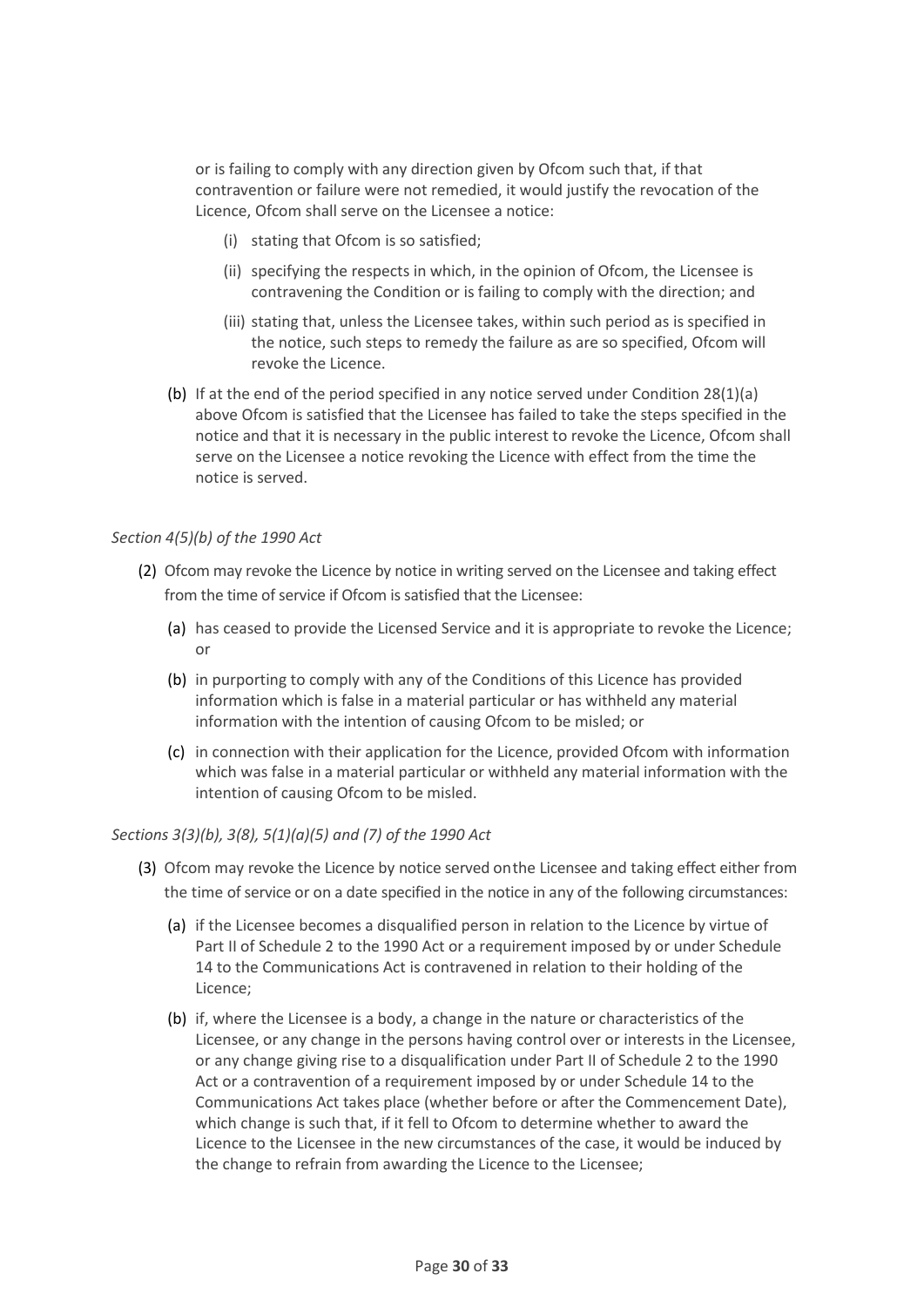or is failing to comply with any direction given by Ofcom such that, if that contravention or failure were not remedied, it would justify the revocation of the Licence, Ofcom shall serve on the Licensee a notice:

- (i) stating that Ofcom is so satisfied;
- (ii) specifying the respects in which, in the opinion of Ofcom, the Licensee is contravening the Condition or is failing to comply with the direction; and
- (iii) stating that, unless the Licensee takes, within such period as is specified in the notice, such steps to remedy the failure as are so specified, Ofcom will revoke the Licence.
- (b) If at the end of the period specified in any notice served under Condition 28(1)(a) above Ofcom is satisfied that the Licensee has failed to take the steps specified in the notice and that it is necessary in the public interest to revoke the Licence, Ofcom shall serve on the Licensee a notice revoking the Licence with effect from the time the notice is served.

#### *Section 4(5)(b) of the 1990 Act*

- (2) Ofcom may revoke the Licence by notice in writing served on the Licensee and taking effect from the time of service if Ofcom is satisfied that the Licensee:
	- (a) has ceased to provide the Licensed Service and it is appropriate to revoke the Licence; or
	- (b) in purporting to comply with any of the Conditions of this Licence has provided information which is false in a material particular or has withheld any material information with the intention of causing Ofcom to be misled; or
	- (c) in connection with their application for the Licence, provided Ofcom with information which was false in a material particular or withheld any material information with the intention of causing Ofcom to be misled.

#### *Sections 3(3)(b), 3(8), 5(1)(a)(5) and (7) of the 1990 Act*

- (3) Ofcom may revoke the Licence by notice served onthe Licensee and taking effect either from the time of service or on a date specified in the notice in any of the following circumstances:
	- (a) if the Licensee becomes a disqualified person in relation to the Licence by virtue of Part II of Schedule 2 to the 1990 Act or a requirement imposed by or under Schedule 14 to the Communications Act is contravened in relation to their holding of the Licence;
	- (b) if, where the Licensee is a body, a change in the nature or characteristics of the Licensee, or any change in the persons having control over or interests in the Licensee, or any change giving rise to a disqualification under Part II of Schedule 2 to the 1990 Act or a contravention of a requirement imposed by or under Schedule 14 to the Communications Act takes place (whether before or after the Commencement Date), which change is such that, if it fell to Ofcom to determine whether to award the Licence to the Licensee in the new circumstances of the case, it would be induced by the change to refrain from awarding the Licence to the Licensee;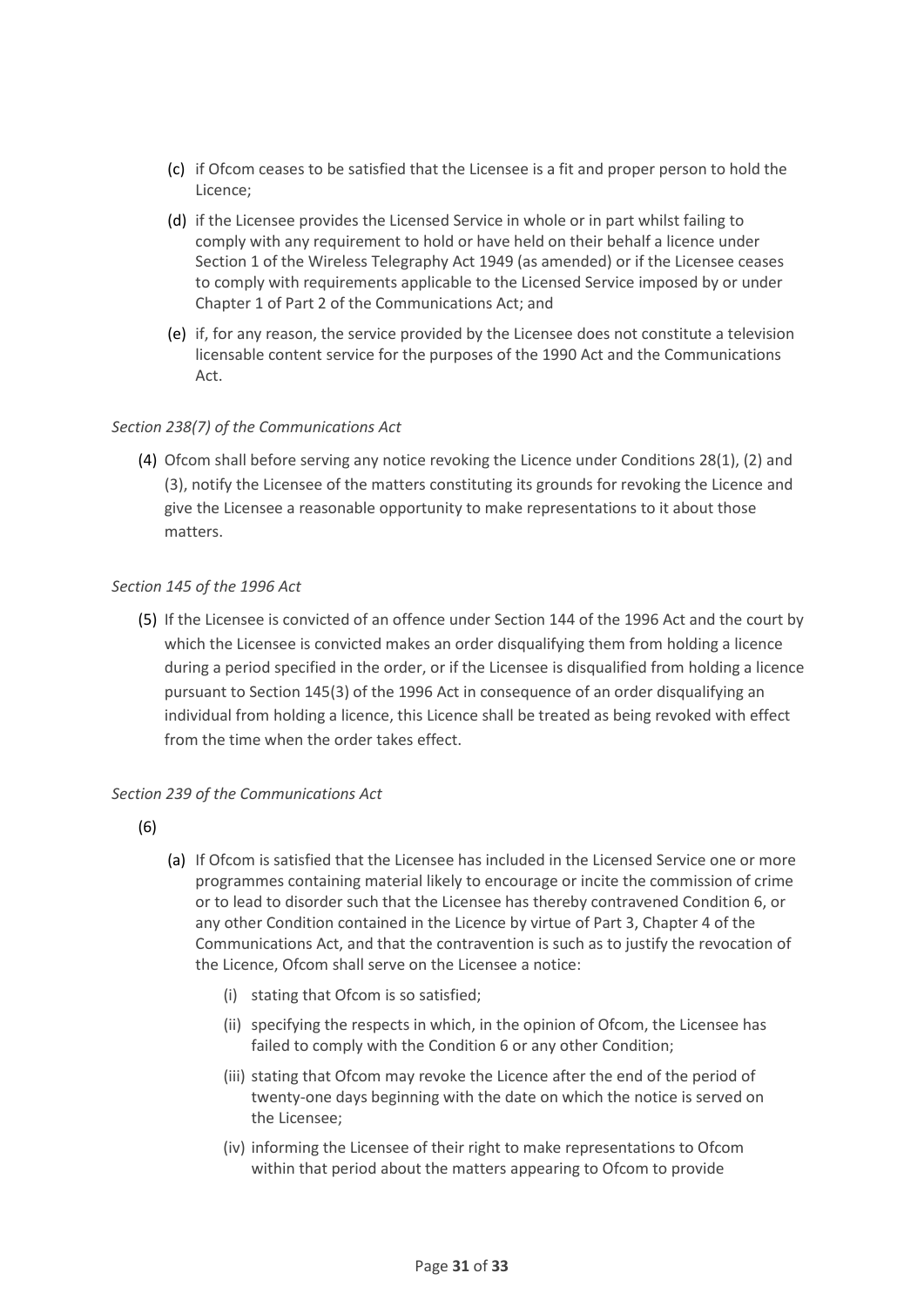- (c) if Ofcom ceases to be satisfied that the Licensee is a fit and proper person to hold the Licence;
- (d) if the Licensee provides the Licensed Service in whole or in part whilst failing to comply with any requirement to hold or have held on their behalf a licence under Section 1 of the Wireless Telegraphy Act 1949 (as amended) or if the Licensee ceases to comply with requirements applicable to the Licensed Service imposed by or under Chapter 1 of Part 2 of the Communications Act; and
- (e) if, for any reason, the service provided by the Licensee does not constitute a television licensable content service for the purposes of the 1990 Act and the Communications Act.

#### *Section 238(7) of the Communications Act*

(4) Ofcom shall before serving any notice revoking the Licence under Conditions 28(1), (2) and (3), notify the Licensee of the matters constituting its grounds for revoking the Licence and give the Licensee a reasonable opportunity to make representations to it about those matters.

#### *Section 145 of the 1996 Act*

(5) If the Licensee is convicted of an offence under Section 144 of the 1996 Act and the court by which the Licensee is convicted makes an order disqualifying them from holding a licence during a period specified in the order, or if the Licensee is disqualified from holding a licence pursuant to Section 145(3) of the 1996 Act in consequence of an order disqualifying an individual from holding a licence, this Licence shall be treated as being revoked with effect from the time when the order takes effect.

#### *Section 239 of the Communications Act*

- (6)
- (a) If Ofcom is satisfied that the Licensee has included in the Licensed Service one or more programmes containing material likely to encourage or incite the commission of crime or to lead to disorder such that the Licensee has thereby contravened Condition 6, or any other Condition contained in the Licence by virtue of Part 3, Chapter 4 of the Communications Act, and that the contravention is such as to justify the revocation of the Licence, Ofcom shall serve on the Licensee a notice:
	- (i) stating that Ofcom is so satisfied;
	- (ii) specifying the respects in which, in the opinion of Ofcom, the Licensee has failed to comply with the Condition 6 or any other Condition;
	- (iii) stating that Ofcom may revoke the Licence after the end of the period of twenty-one days beginning with the date on which the notice is served on the Licensee;
	- (iv) informing the Licensee of their right to make representations to Ofcom within that period about the matters appearing to Ofcom to provide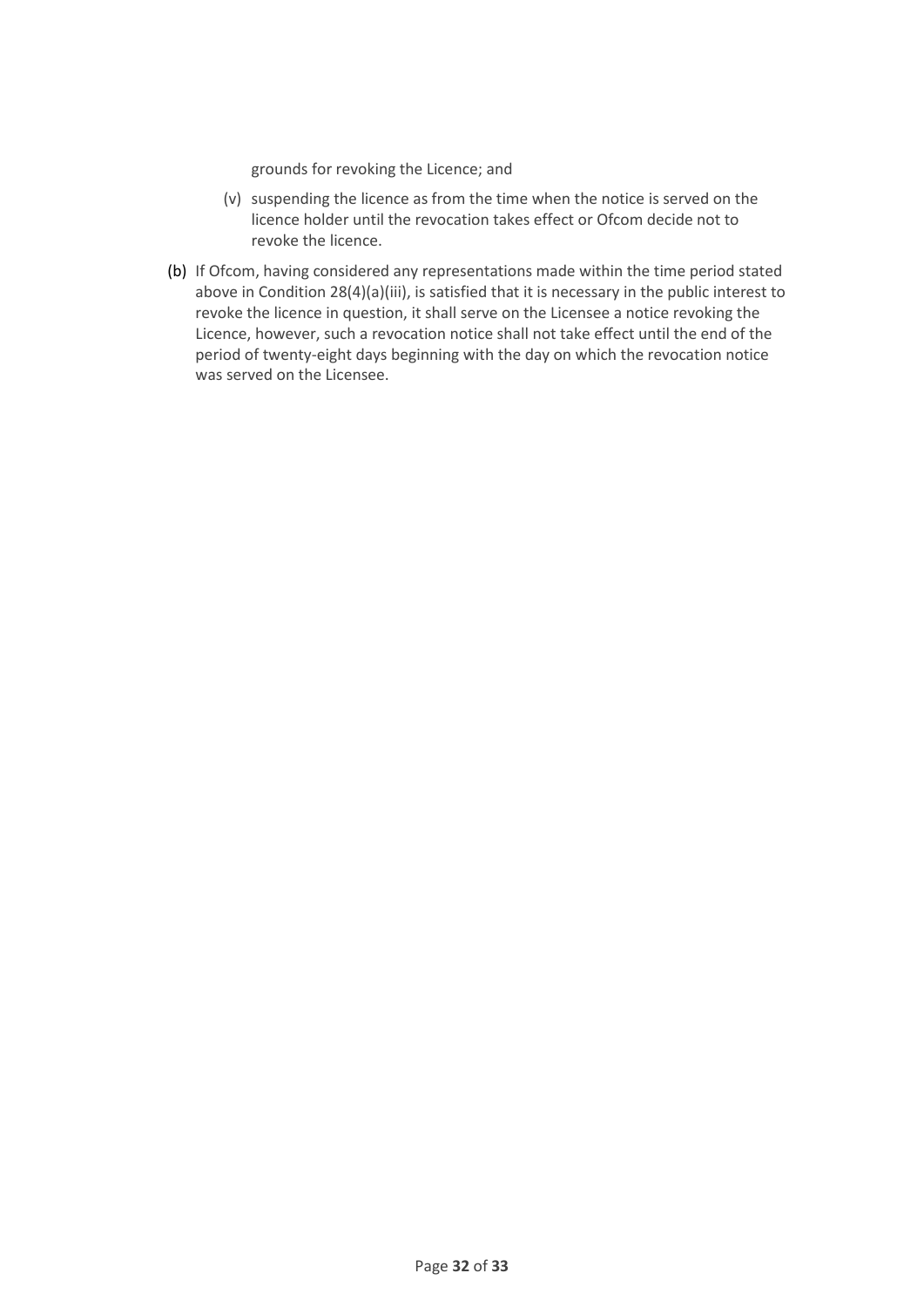grounds for revoking the Licence; and

- (v) suspending the licence as from the time when the notice is served on the licence holder until the revocation takes effect or Ofcom decide not to revoke the licence.
- (b) If Ofcom, having considered any representations made within the time period stated above in Condition 28(4)(a)(iii), is satisfied that it is necessary in the public interest to revoke the licence in question, it shall serve on the Licensee a notice revoking the Licence, however, such a revocation notice shall not take effect until the end of the period of twenty-eight days beginning with the day on which the revocation notice was served on the Licensee.